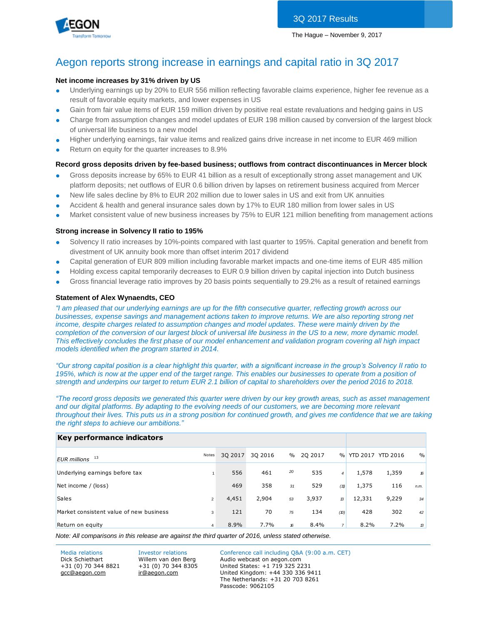



## Aegon reports strong increase in earnings and capital ratio in 3Q 2017

#### **Net income increases by 31% driven by US**

- Underlying earnings up by 20% to EUR 556 million reflecting favorable claims experience, higher fee revenue as a result of favorable equity markets, and lower expenses in US
- Gain from fair value items of EUR 159 million driven by positive real estate revaluations and hedging gains in US
- Charge from assumption changes and model updates of EUR 198 million caused by conversion of the largest block of universal life business to a new model
- Higher underlying earnings, fair value items and realized gains drive increase in net income to EUR 469 million
- Return on equity for the quarter increases to 8.9%

#### **Record gross deposits driven by fee-based business; outflows from contract discontinuances in Mercer block**

- Gross deposits increase by 65% to EUR 41 billion as a result of exceptionally strong asset management and UK platform deposits; net outflows of EUR 0.6 billion driven by lapses on retirement business acquired from Mercer
- New life sales decline by 8% to EUR 202 million due to lower sales in US and exit from UK annuities
- Accident & health and general insurance sales down by 17% to EUR 180 million from lower sales in US
- Market consistent value of new business increases by 75% to EUR 121 million benefiting from management actions

#### **Strong increase in Solvency II ratio to 195%**

- Solvency II ratio increases by 10%-points compared with last quarter to 195%. Capital generation and benefit from divestment of UK annuity book more than offset interim 2017 dividend
- Capital generation of EUR 809 million including favorable market impacts and one-time items of EUR 485 million
- Holding excess capital temporarily decreases to EUR 0.9 billion driven by capital injection into Dutch business
- Gross financial leverage ratio improves by 20 basis points sequentially to 29.2% as a result of retained earnings

#### **Statement of Alex Wynaendts, CEO**

*"I am pleased that our underlying earnings are up for the fifth consecutive quarter, reflecting growth across our businesses, expense savings and management actions taken to improve returns. We are also reporting strong net income, despite charges related to assumption changes and model updates. These were mainly driven by the completion of the conversion of our largest block of universal life business in the US to a new, more dynamic model. This effectively concludes the first phase of our model enhancement and validation program covering all high impact models identified when the program started in 2014.*

*"Our strong capital position is a clear highlight this quarter, with a significant increase in the group's Solvency II ratio to 195%, which is now at the upper end of the target range. This enables our businesses to operate from a position of strength and underpins our target to return EUR 2.1 billion of capital to shareholders over the period 2016 to 2018.*

*"The record gross deposits we generated this quarter were driven by our key growth areas, such as asset management*  and our digital platforms. By adapting to the evolving needs of our customers, we are becoming more relevant *throughout their lives. This puts us in a strong position for continued growth, and gives me confidence that we are taking the right steps to achieve our ambitions."* 

| Key performance indicators              |                |         |         |      |         |                |                   |       |               |
|-----------------------------------------|----------------|---------|---------|------|---------|----------------|-------------------|-------|---------------|
| 13<br><b>EUR</b> millions               | Notes          | 30 2017 | 30 2016 | $\%$ | 20 2017 | $\frac{0}{0}$  | YTD 2017 YTD 2016 |       | $\frac{0}{0}$ |
| Underlying earnings before tax          |                | 556     | 461     | 20   | 535     | $\overline{4}$ | 1,578             | 1,359 | 16            |
| Net income / (loss)                     |                | 469     | 358     | 31   | 529     | (11)           | 1,375             | 116   | n.m.          |
| <b>Sales</b>                            | $\overline{2}$ | 4,451   | 2,904   | 53   | 3,937   | $\mathcal{B}$  | 12,331            | 9,229 | 34            |
| Market consistent value of new business | 3              | 121     | 70      | 75   | 134     | (D)            | 428               | 302   | 42            |
| Return on equity                        | 4              | 8.9%    | 7.7%    | 16   | 8.4%    | $\overline{7}$ | 8.2%              | 7.2%  | $\mathcal{B}$ |

*Note: All comparisons in this release are against the third quarter of 2016, unless stated otherwise.*

+31 (0) 70 344 8821 [gcc@aegon.com](mailto:gcc@aegon.com)

+31 (0) 70 344 8305 [ir@aegon.com](mailto:ir@aegon.com)

Media relations Investor relations Conference call including Q&A (9:00 a.m. CET) Dick Schiethart Willem van den Berg Audio webcast on aegon.com United States: +1 719 325 2231 United Kingdom: +44 330 336 9411

The Netherlands: +31 20 703 8261 Passcode: 9062105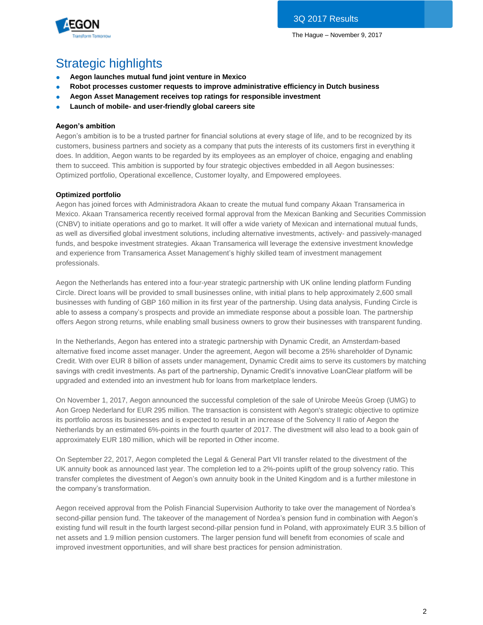

# Strategic highlights

- **Aegon launches mutual fund joint venture in Mexico**
- **Robot processes customer requests to improve administrative efficiency in Dutch business**
- Aegon Asset Management receives top ratings for responsible investment
- Launch of mobile- and user-friendly global careers site

## **Aegon's ambition**

Aegon's ambition is to be a trusted partner for financial solutions at every stage of life, and to be recognized by its customers, business partners and society as a company that puts the interests of its customers first in everything it does. In addition, Aegon wants to be regarded by its employees as an employer of choice, engaging and enabling them to succeed. This ambition is supported by four strategic objectives embedded in all Aegon businesses: Optimized portfolio, Operational excellence, Customer loyalty, and Empowered employees.

## **Optimized portfolio**

Aegon has joined forces with Administradora Akaan to create the mutual fund company Akaan Transamerica in Mexico. Akaan Transamerica recently received formal approval from the Mexican Banking and Securities Commission (CNBV) to initiate operations and go to market. It will offer a wide variety of Mexican and international mutual funds, as well as diversified global investment solutions, including alternative investments, actively- and passively-managed funds, and bespoke investment strategies. Akaan Transamerica will leverage the extensive investment knowledge and experience from Transamerica Asset Management's highly skilled team of investment management professionals.

Aegon the Netherlands has entered into a four-year strategic partnership with UK online lending platform Funding Circle. Direct loans will be provided to small businesses online, with initial plans to help approximately 2,600 small businesses with funding of GBP 160 million in its first year of the partnership. Using data analysis, Funding Circle is able to assess a company's prospects and provide an immediate response about a possible loan. The partnership offers Aegon strong returns, while enabling small business owners to grow their businesses with transparent funding.

In the Netherlands, Aegon has entered into a strategic partnership with Dynamic Credit, an Amsterdam-based alternative fixed income asset manager. Under the agreement, Aegon will become a 25% shareholder of Dynamic Credit. With over EUR 8 billion of assets under management, Dynamic Credit aims to serve its customers by matching savings with credit investments. As part of the partnership, Dynamic Credit's innovative LoanClear platform will be upgraded and extended into an investment hub for loans from marketplace lenders.

On November 1, 2017, Aegon announced the successful completion of the sale of Unirobe Meeùs Groep (UMG) to Aon Groep Nederland for EUR 295 million. The transaction is consistent with Aegon's strategic objective to optimize its portfolio across its businesses and is expected to result in an increase of the Solvency II ratio of Aegon the Netherlands by an estimated 6%-points in the fourth quarter of 2017. The divestment will also lead to a book gain of approximately EUR 180 million, which will be reported in Other income.

On September 22, 2017, Aegon completed the Legal & General Part VII transfer related to the divestment of the UK annuity book as announced last year. The completion led to a 2%-points uplift of the group solvency ratio. This transfer completes the divestment of Aegon's own annuity book in the United Kingdom and is a further milestone in the company's transformation.

Aegon received approval from the Polish Financial Supervision Authority to take over the management of Nordea's second-pillar pension fund. The takeover of the management of Nordea's pension fund in combination with Aegon's existing fund will result in the fourth largest second-pillar pension fund in Poland, with approximately EUR 3.5 billion of net assets and 1.9 million pension customers. The larger pension fund will benefit from economies of scale and improved investment opportunities, and will share best practices for pension administration.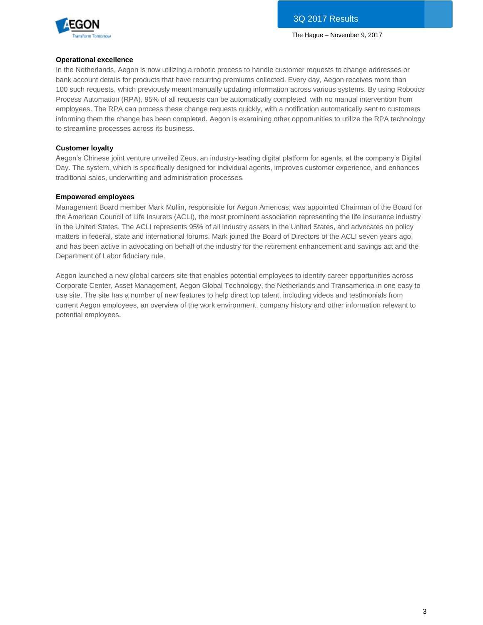

#### **Operational excellence**

In the Netherlands, Aegon is now utilizing a robotic process to handle customer requests to change addresses or bank account details for products that have recurring premiums collected. Every day, Aegon receives more than 100 such requests, which previously meant manually updating information across various systems. By using Robotics Process Automation (RPA), 95% of all requests can be automatically completed, with no manual intervention from employees. The RPA can process these change requests quickly, with a notification automatically sent to customers informing them the change has been completed. Aegon is examining other opportunities to utilize the RPA technology to streamline processes across its business.

#### **Customer loyalty**

Aegon's Chinese joint venture unveiled Zeus, an industry-leading digital platform for agents, at the company's Digital Day. The system, which is specifically designed for individual agents, improves customer experience, and enhances traditional sales, underwriting and administration processes.

#### **Empowered employees**

Management Board member Mark Mullin, responsible for Aegon Americas, was appointed Chairman of the Board for the American Council of Life Insurers (ACLI), the most prominent association representing the life insurance industry in the United States. The ACLI represents 95% of all industry assets in the United States, and advocates on policy matters in federal, state and international forums. Mark joined the Board of Directors of the ACLI seven years ago, and has been active in advocating on behalf of the industry for the retirement enhancement and savings act and the Department of Labor fiduciary rule.

Aegon launched a new global careers site that enables potential employees to identify career opportunities across Corporate Center, Asset Management, Aegon Global Technology, the Netherlands and Transamerica in one easy to use site. The site has a number of new features to help direct top talent, including videos and testimonials from current Aegon employees, an overview of the work environment, company history and other information relevant to potential employees.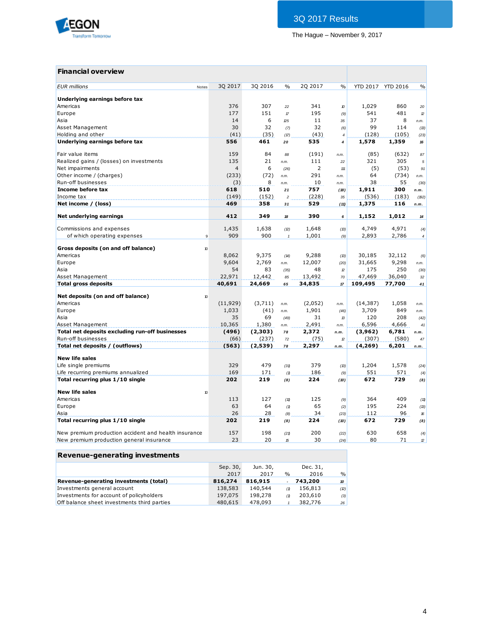

## **Financial overview**

| <b>EUR</b> millions                                                                              | Notes                      | 3Q 2017        | 3Q 2016 | $\frac{0}{0}$  | 2Q 2017 | $\frac{0}{0}$         | YTD 2017 YTD 2016 |              | $\%$               |
|--------------------------------------------------------------------------------------------------|----------------------------|----------------|---------|----------------|---------|-----------------------|-------------------|--------------|--------------------|
|                                                                                                  |                            |                |         |                |         |                       |                   |              |                    |
| Underlying earnings before tax                                                                   |                            | 376            | 307     |                | 341     |                       |                   |              |                    |
| Americas                                                                                         |                            | 177            | 151     | 22             | 195     | $\boldsymbol{v}$      | 1,029             | 860<br>481   | 20                 |
| Europe                                                                                           |                            | 14             | 6       | $\mathcal{L}$  | 11      | (9)                   | 541<br>37         | 8            | $\mathbf{z}$       |
| Asia                                                                                             |                            | 30             | 32      | 25             | 32      | 35                    | 99                | 114          | n.m.               |
| Asset Management<br>Holding and other                                                            |                            | (41)           | (35)    | (7)<br>(17)    | (43)    | (6)<br>$\overline{4}$ | (128)             | (105)        | (13)               |
| Underlying earnings before tax                                                                   |                            | 556            | 461     | 20             | 535     | 4                     | 1,578             | 1,359        | (23)<br>${\bf 16}$ |
|                                                                                                  |                            |                |         |                |         |                       |                   |              |                    |
| Fair value items                                                                                 |                            | 159            | 84      | 88             | (191)   | n.m.                  | (85)              | (632)        | 87                 |
| Realized gains / (losses) on investments                                                         |                            | 135            | 21      | n.m.           | 111     | 22                    | 321               | 305          | 5                  |
| Net impairments                                                                                  |                            | $\overline{4}$ | 6       | (26)           | 2       | 111                   | (5)               | (53)         | 91                 |
| Other income / (charges)                                                                         |                            | (233)          | (72)    | n.m.           | 291     | n.m.                  | 64                | (734)        | n.m.               |
| Run-off businesses                                                                               |                            | (3)            | 8       | n.m.           | 10      | n.m.                  | 38                | 55           | (30)               |
| Income before tax                                                                                |                            | 618            | 510     | 21             | 757     | (18)                  | 1,911             | 300          | n.m.               |
| Income tax                                                                                       |                            | (149)          | (152)   | $\overline{c}$ | (228)   | 35                    | (536)             | (183)        | (192)              |
| Net income / (loss)                                                                              |                            | 469            | 358     | 31             | 529     | (11)                  | 1,375             | 116          | n.m.               |
|                                                                                                  |                            | 412            | 349     |                | 390     |                       |                   | 1,012        |                    |
| Net underlying earnings                                                                          |                            |                |         | 18             |         | 6                     | 1,152             |              | 14                 |
| Commissions and expenses                                                                         |                            | 1,435          | 1,638   | (2)            | 1,648   | (13)                  | 4,749             | 4,971        | (4)                |
| of which operating expenses                                                                      | $\overline{9}$             | 909            | 900     | $\mathbf{1}$   | 1,001   | (9)                   | 2,893             | 2,786        | $\boldsymbol{4}$   |
|                                                                                                  |                            |                |         |                |         |                       |                   |              |                    |
| Gross deposits (on and off balance)                                                              | $\boldsymbol{\mathcal{D}}$ |                |         |                |         |                       |                   |              |                    |
| Americas                                                                                         |                            | 8,062          | 9,375   | (14)           | 9,288   | (13)                  | 30,185            | 32,112       | (6)                |
| Europe                                                                                           |                            | 9,604          | 2,769   | n.m.           | 12,007  | (20)                  | 31,665            | 9,298        | n.m.               |
| Asia                                                                                             |                            | 54             | 83      | (35)           | 48      | $\mathcal{D}$         | 175               | 250          | (30)               |
| Asset Management                                                                                 |                            | 22,971         | 12,442  | 85             | 13,492  | 70                    | 47,469            | 36,040       | 32                 |
| <b>Total gross deposits</b>                                                                      |                            | 40,691         | 24,669  | 65             | 34,835  | $17\,$                | 109,495           | 77,700       | 41                 |
| Net deposits (on and off balance)                                                                | $\boldsymbol{v}$           |                |         |                |         |                       |                   |              |                    |
| Americas                                                                                         |                            | (11, 929)      | (3,711) | n.m.           | (2,052) | n.m.                  | (14, 387)         | 1,058        | n.m.               |
| Europe                                                                                           |                            | 1,033          | (41)    | n.m.           | 1,901   | (46)                  | 3,709             | 849          | n.m.               |
| Asia                                                                                             |                            | 35             | 69      | (49)           | 31      | $\mathcal{B}$         | 120               | 208          | (42)               |
| Asset Management                                                                                 |                            | 10,365         | 1,380   | n.m.           | 2,491   | n.m.                  | 6,596             | 4,666        | 41                 |
| Total net deposits excluding run-off businesses                                                  |                            | (496)          | (2,303) | 78             | 2,372   | n.m.                  | (3,962)           | 6,781        | n.m.               |
| Run-off businesses                                                                               |                            | (66)           | (237)   | 72             | (75)    | $\mathcal{D}$         | (307)             | (580)        | 47                 |
| Total net deposits / (outflows)                                                                  |                            | (563)          | (2,539) | 78             | 2,297   | n.m.                  | (4, 269)          | 6,201        | n.m.               |
|                                                                                                  |                            |                |         |                |         |                       |                   |              |                    |
| <b>New life sales</b>                                                                            |                            | 329            | 479     |                |         |                       |                   |              |                    |
| Life single premiums                                                                             |                            | 169            |         | (31)           | 379     | (13)                  | 1,204<br>551      | 1,578<br>571 | (24)               |
| Life recurring premiums annualized                                                               |                            | 202            | 171     | (1)            | 186     | (9)                   | 672               | 729          | (4)                |
| Total recurring plus 1/10 single                                                                 |                            |                | 219     | (8)            | 224     | (10)                  |                   |              | (8)                |
| <b>New life sales</b>                                                                            | $\boldsymbol{v}$           |                |         |                |         |                       |                   |              |                    |
| Americas                                                                                         |                            | 113            | 127     | (11)           | 125     | (9)                   | 364               | 409          | (11)               |
| Europe                                                                                           |                            | 63             | 64      | (1)            | 65      | (2)                   | 195               | 224          | (13)               |
| Asia                                                                                             |                            | 26             | 28      | (8)            | 34      | (23)                  | 112               | 96           | 16                 |
| Total recurring plus 1/10 single                                                                 |                            | 202            | 219     | (8)            | 224     | (10)                  | 672               | 729          | (8)                |
|                                                                                                  |                            | 157            | 198     |                | 200     |                       | 630               | 658          |                    |
| New premium production accident and health insurance<br>New premium production general insurance |                            | 23             | 20      | (21)<br>15     | 30      | (22)<br>(24)          | 80                | 71           | (4)<br>2           |
|                                                                                                  |                            |                |         |                |         |                       |                   |              |                    |

## **Revenue-generating investments**

|                                             | Sep. 30, | Jun. 30, |               | Dec. 31, |               |
|---------------------------------------------|----------|----------|---------------|----------|---------------|
|                                             | 2017     | 2017     | $\frac{0}{0}$ | 2016     | $\frac{9}{6}$ |
| Revenue-generating investments (total)      | 816,274  | 816,915  |               | 743,200  | 10            |
| Investments general account                 | 138,583  | 140,544  | (1)           | 156,813  | (2)           |
| Investments for account of policyholders    | 197,075  | 198,278  | (1)           | 203,610  | (3)           |
| Off balance sheet investments third parties | 480,615  | 478,093  |               | 382,776  | 26            |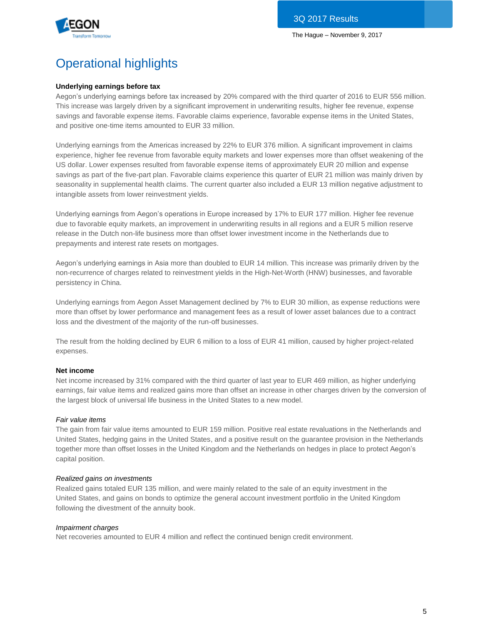

# Operational highlights

### **Underlying earnings before tax**

Aegon's underlying earnings before tax increased by 20% compared with the third quarter of 2016 to EUR 556 million. This increase was largely driven by a significant improvement in underwriting results, higher fee revenue, expense savings and favorable expense items. Favorable claims experience, favorable expense items in the United States, and positive one-time items amounted to EUR 33 million.

Underlying earnings from the Americas increased by 22% to EUR 376 million. A significant improvement in claims experience, higher fee revenue from favorable equity markets and lower expenses more than offset weakening of the US dollar. Lower expenses resulted from favorable expense items of approximately EUR 20 million and expense savings as part of the five-part plan. Favorable claims experience this quarter of EUR 21 million was mainly driven by seasonality in supplemental health claims. The current quarter also included a EUR 13 million negative adjustment to intangible assets from lower reinvestment yields.

Underlying earnings from Aegon's operations in Europe increased by 17% to EUR 177 million. Higher fee revenue due to favorable equity markets, an improvement in underwriting results in all regions and a EUR 5 million reserve release in the Dutch non-life business more than offset lower investment income in the Netherlands due to prepayments and interest rate resets on mortgages.

Aegon's underlying earnings in Asia more than doubled to EUR 14 million. This increase was primarily driven by the non-recurrence of charges related to reinvestment yields in the High-Net-Worth (HNW) businesses, and favorable persistency in China.

Underlying earnings from Aegon Asset Management declined by 7% to EUR 30 million, as expense reductions were more than offset by lower performance and management fees as a result of lower asset balances due to a contract loss and the divestment of the majority of the run-off businesses.

The result from the holding declined by EUR 6 million to a loss of EUR 41 million, caused by higher project-related expenses.

#### **Net income**

Net income increased by 31% compared with the third quarter of last year to EUR 469 million, as higher underlying earnings, fair value items and realized gains more than offset an increase in other charges driven by the conversion of the largest block of universal life business in the United States to a new model.

#### *Fair value items*

The gain from fair value items amounted to EUR 159 million. Positive real estate revaluations in the Netherlands and United States, hedging gains in the United States, and a positive result on the guarantee provision in the Netherlands together more than offset losses in the United Kingdom and the Netherlands on hedges in place to protect Aegon's capital position.

#### *Realized gains on investments*

Realized gains totaled EUR 135 million, and were mainly related to the sale of an equity investment in the United States, and gains on bonds to optimize the general account investment portfolio in the United Kingdom following the divestment of the annuity book.

#### *Impairment charges*

Net recoveries amounted to EUR 4 million and reflect the continued benign credit environment.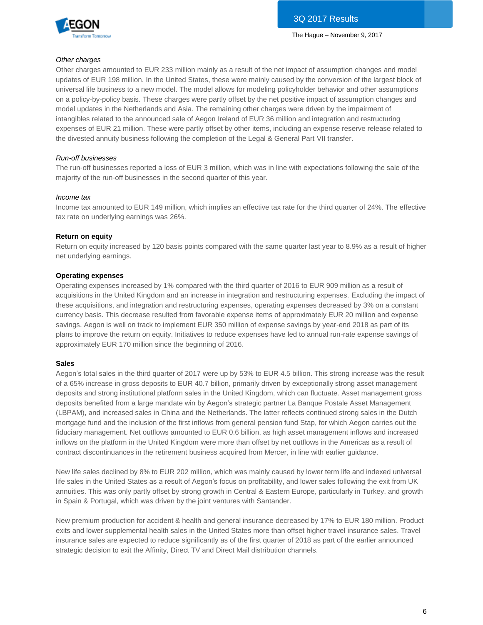

#### *Other charges*

Other charges amounted to EUR 233 million mainly as a result of the net impact of assumption changes and model updates of EUR 198 million. In the United States, these were mainly caused by the conversion of the largest block of universal life business to a new model. The model allows for modeling policyholder behavior and other assumptions on a policy-by-policy basis. These charges were partly offset by the net positive impact of assumption changes and model updates in the Netherlands and Asia. The remaining other charges were driven by the impairment of intangibles related to the announced sale of Aegon Ireland of EUR 36 million and integration and restructuring expenses of EUR 21 million. These were partly offset by other items, including an expense reserve release related to the divested annuity business following the completion of the Legal & General Part VII transfer.

#### *Run-off businesses*

The run-off businesses reported a loss of EUR 3 million, which was in line with expectations following the sale of the majority of the run-off businesses in the second quarter of this year.

#### *Income tax*

Income tax amounted to EUR 149 million, which implies an effective tax rate for the third quarter of 24%. The effective tax rate on underlying earnings was 26%.

#### **Return on equity**

Return on equity increased by 120 basis points compared with the same quarter last year to 8.9% as a result of higher net underlying earnings.

#### **Operating expenses**

Operating expenses increased by 1% compared with the third quarter of 2016 to EUR 909 million as a result of acquisitions in the United Kingdom and an increase in integration and restructuring expenses. Excluding the impact of these acquisitions, and integration and restructuring expenses, operating expenses decreased by 3% on a constant currency basis. This decrease resulted from favorable expense items of approximately EUR 20 million and expense savings. Aegon is well on track to implement EUR 350 million of expense savings by year-end 2018 as part of its plans to improve the return on equity. Initiatives to reduce expenses have led to annual run-rate expense savings of approximately EUR 170 million since the beginning of 2016.

#### **Sales**

Aegon's total sales in the third quarter of 2017 were up by 53% to EUR 4.5 billion. This strong increase was the result of a 65% increase in gross deposits to EUR 40.7 billion, primarily driven by exceptionally strong asset management deposits and strong institutional platform sales in the United Kingdom, which can fluctuate. Asset management gross deposits benefited from a large mandate win by Aegon's strategic partner La Banque Postale Asset Management (LBPAM), and increased sales in China and the Netherlands. The latter reflects continued strong sales in the Dutch mortgage fund and the inclusion of the first inflows from general pension fund Stap, for which Aegon carries out the fiduciary management. Net outflows amounted to EUR 0.6 billion, as high asset management inflows and increased inflows on the platform in the United Kingdom were more than offset by net outflows in the Americas as a result of contract discontinuances in the retirement business acquired from Mercer, in line with earlier guidance.

New life sales declined by 8% to EUR 202 million, which was mainly caused by lower term life and indexed universal life sales in the United States as a result of Aegon's focus on profitability, and lower sales following the exit from UK annuities. This was only partly offset by strong growth in Central & Eastern Europe, particularly in Turkey, and growth in Spain & Portugal, which was driven by the joint ventures with Santander.

New premium production for accident & health and general insurance decreased by 17% to EUR 180 million. Product exits and lower supplemental health sales in the United States more than offset higher travel insurance sales. Travel insurance sales are expected to reduce significantly as of the first quarter of 2018 as part of the earlier announced strategic decision to exit the Affinity, Direct TV and Direct Mail distribution channels.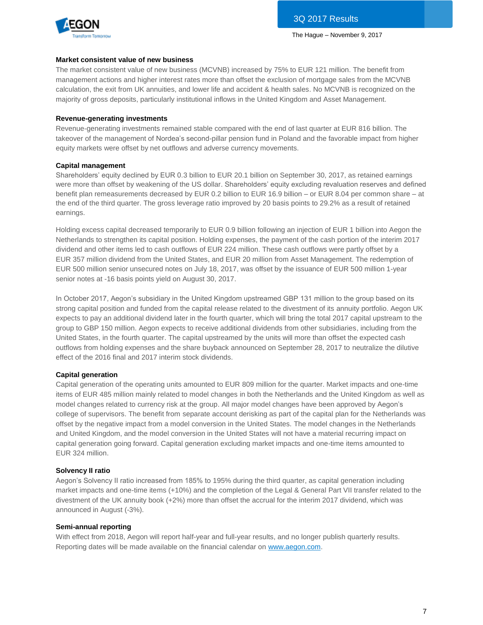

#### **Market consistent value of new business**

The market consistent value of new business (MCVNB) increased by 75% to EUR 121 million. The benefit from management actions and higher interest rates more than offset the exclusion of mortgage sales from the MCVNB calculation, the exit from UK annuities, and lower life and accident & health sales. No MCVNB is recognized on the majority of gross deposits, particularly institutional inflows in the United Kingdom and Asset Management.

#### **Revenue-generating investments**

Revenue-generating investments remained stable compared with the end of last quarter at EUR 816 billion. The takeover of the management of Nordea's second-pillar pension fund in Poland and the favorable impact from higher equity markets were offset by net outflows and adverse currency movements.

#### **Capital management**

Shareholders' equity declined by EUR 0.3 billion to EUR 20.1 billion on September 30, 2017, as retained earnings were more than offset by weakening of the US dollar. Shareholders' equity excluding revaluation reserves and defined benefit plan remeasurements decreased by EUR 0.2 billion to EUR 16.9 billion – or EUR 8.04 per common share – at the end of the third quarter. The gross leverage ratio improved by 20 basis points to 29.2% as a result of retained earnings.

Holding excess capital decreased temporarily to EUR 0.9 billion following an injection of EUR 1 billion into Aegon the Netherlands to strengthen its capital position. Holding expenses, the payment of the cash portion of the interim 2017 dividend and other items led to cash outflows of EUR 224 million. These cash outflows were partly offset by a EUR 357 million dividend from the United States, and EUR 20 million from Asset Management. The redemption of EUR 500 million senior unsecured notes on July 18, 2017, was offset by the issuance of EUR 500 million 1-year senior notes at -16 basis points yield on August 30, 2017.

In October 2017, Aegon's subsidiary in the United Kingdom upstreamed GBP 131 million to the group based on its strong capital position and funded from the capital release related to the divestment of its annuity portfolio. Aegon UK expects to pay an additional dividend later in the fourth quarter, which will bring the total 2017 capital upstream to the group to GBP 150 million. Aegon expects to receive additional dividends from other subsidiaries, including from the United States, in the fourth quarter. The capital upstreamed by the units will more than offset the expected cash outflows from holding expenses and the share buyback announced on September 28, 2017 to neutralize the dilutive effect of the 2016 final and 2017 interim stock dividends.

#### **Capital generation**

Capital generation of the operating units amounted to EUR 809 million for the quarter. Market impacts and one-time items of EUR 485 million mainly related to model changes in both the Netherlands and the United Kingdom as well as model changes related to currency risk at the group. All major model changes have been approved by Aegon's college of supervisors. The benefit from separate account derisking as part of the capital plan for the Netherlands was offset by the negative impact from a model conversion in the United States. The model changes in the Netherlands and United Kingdom, and the model conversion in the United States will not have a material recurring impact on capital generation going forward. Capital generation excluding market impacts and one-time items amounted to EUR 324 million.

#### **Solvency II ratio**

Aegon's Solvency II ratio increased from 185% to 195% during the third quarter, as capital generation including market impacts and one-time items (+10%) and the completion of the Legal & General Part VII transfer related to the divestment of the UK annuity book (+2%) more than offset the accrual for the interim 2017 dividend, which was announced in August (-3%).

#### **Semi-annual reporting**

With effect from 2018, Aegon will report half-year and full-year results, and no longer publish quarterly results. Reporting dates will be made available on the financial calendar on [www.aegon.com.](https://www.aegon.com/calendar/?tab=2018)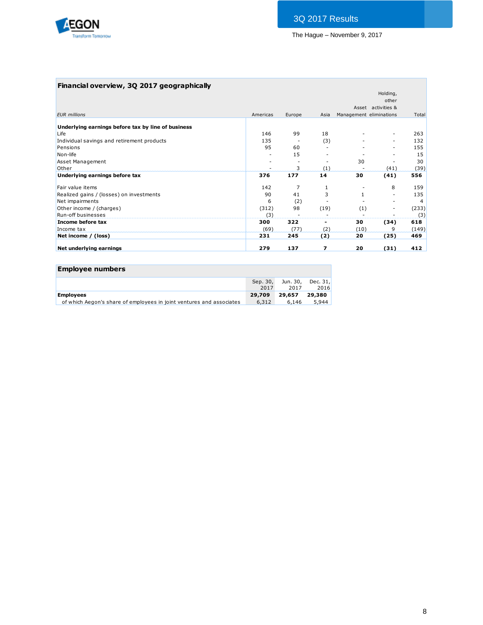

## **Financial overview, 3Q 2017 geographically**

|                                                    |          |        |      |                         | Holding,           |       |
|----------------------------------------------------|----------|--------|------|-------------------------|--------------------|-------|
|                                                    |          |        |      |                         | other              |       |
|                                                    |          |        |      |                         | Asset activities & |       |
| <b>EUR</b> millions                                | Americas | Europe | Asia | Management eliminations |                    | Total |
| Underlying earnings before tax by line of business |          |        |      |                         |                    |       |
| Life                                               | 146      | 99     | 18   |                         |                    | 263   |
| Individual savings and retirement products         | 135      |        | (3)  |                         |                    | 132   |
| Pensions                                           | 95       | 60     |      |                         |                    | 155   |
| Non-life                                           |          | 15     |      |                         |                    | 15    |
| Asset Management                                   |          |        |      | 30                      |                    | 30    |
| Other                                              |          | 3      | (1)  |                         | (41)               | (39)  |
| Underlying earnings before tax                     | 376      | 177    | 14   | 30                      | (41)               | 556   |
| Fair value items                                   | 142      | 7      | 1    |                         | 8                  | 159   |
| Realized gains / (losses) on investments           | 90       | 41     | 3    |                         |                    | 135   |
| Net impairments                                    | 6        | (2)    |      |                         |                    | 4     |
| Other income / (charges)                           | (312)    | 98     | (19) | (1)                     |                    | (233) |
| Run-off businesses                                 | (3)      |        |      |                         |                    | (3)   |
| Income before tax                                  | 300      | 322    | ۰    | 30                      | (34)               | 618   |
| Income tax                                         | (69)     | (77)   | (2)  | (10)                    | 9                  | (149) |
| Net income / (loss)                                | 231      | 245    | (2)  | 20                      | (25)               | 469   |
| Net underlying earnings                            | 279      | 137    | 7    | 20                      | (31)               | 412   |

| <b>Employee numbers</b>                                              |          |       |                   |
|----------------------------------------------------------------------|----------|-------|-------------------|
|                                                                      | Sep. 30, |       | Jun. 30, Dec. 31, |
|                                                                      | 2017     | 2017  | 2016              |
| <b>Employees</b>                                                     | 29.709   |       | 29.657 29.380     |
| of which Aegon's share of employees in joint ventures and associates | 6,312    | 6,146 | 5.944             |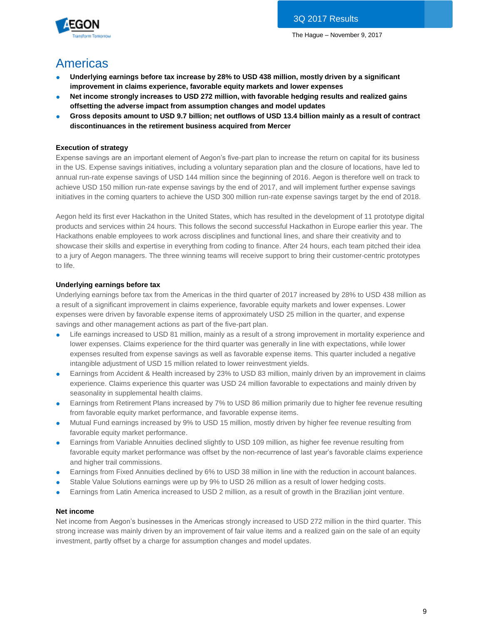

## Americas

- **Underlying earnings before tax increase by 28% to USD 438 million, mostly driven by a significant improvement in claims experience, favorable equity markets and lower expenses**
- Net income strongly increases to USD 272 million, with favorable hedging results and realized gains **offsetting the adverse impact from assumption changes and model updates**
- **Gross deposits amount to USD 9.7 billion; net outflows of USD 13.4 billion mainly as a result of contract discontinuances in the retirement business acquired from Mercer**

## **Execution of strategy**

Expense savings are an important element of Aegon's five-part plan to increase the return on capital for its business in the US. Expense savings initiatives, including a voluntary separation plan and the closure of locations, have led to annual run-rate expense savings of USD 144 million since the beginning of 2016. Aegon is therefore well on track to achieve USD 150 million run-rate expense savings by the end of 2017, and will implement further expense savings initiatives in the coming quarters to achieve the USD 300 million run-rate expense savings target by the end of 2018.

Aegon held its first ever Hackathon in the United States, which has resulted in the development of 11 prototype digital products and services within 24 hours. This follows the second successful Hackathon in Europe earlier this year. The Hackathons enable employees to work across disciplines and functional lines, and share their creativity and to showcase their skills and expertise in everything from coding to finance. After 24 hours, each team pitched their idea to a jury of Aegon managers. The three winning teams will receive support to bring their customer-centric prototypes to life.

## **Underlying earnings before tax**

Underlying earnings before tax from the Americas in the third quarter of 2017 increased by 28% to USD 438 million as a result of a significant improvement in claims experience, favorable equity markets and lower expenses. Lower expenses were driven by favorable expense items of approximately USD 25 million in the quarter, and expense savings and other management actions as part of the five-part plan.

- Life earnings increased to USD 81 million, mainly as a result of a strong improvement in mortality experience and lower expenses. Claims experience for the third quarter was generally in line with expectations, while lower expenses resulted from expense savings as well as favorable expense items. This quarter included a negative intangible adjustment of USD 15 million related to lower reinvestment yields.
- Earnings from Accident & Health increased by 23% to USD 83 million, mainly driven by an improvement in claims experience. Claims experience this quarter was USD 24 million favorable to expectations and mainly driven by seasonality in supplemental health claims.
- Earnings from Retirement Plans increased by 7% to USD 86 million primarily due to higher fee revenue resulting from favorable equity market performance, and favorable expense items.
- Mutual Fund earnings increased by 9% to USD 15 million, mostly driven by higher fee revenue resulting from favorable equity market performance.
- Earnings from Variable Annuities declined slightly to USD 109 million, as higher fee revenue resulting from favorable equity market performance was offset by the non-recurrence of last year's favorable claims experience and higher trail commissions.
- Earnings from Fixed Annuities declined by 6% to USD 38 million in line with the reduction in account balances.
- Stable Value Solutions earnings were up by 9% to USD 26 million as a result of lower hedging costs.
- Earnings from Latin America increased to USD 2 million, as a result of growth in the Brazilian joint venture.

#### **Net income**

Net income from Aegon's businesses in the Americas strongly increased to USD 272 million in the third quarter. This strong increase was mainly driven by an improvement of fair value items and a realized gain on the sale of an equity investment, partly offset by a charge for assumption changes and model updates.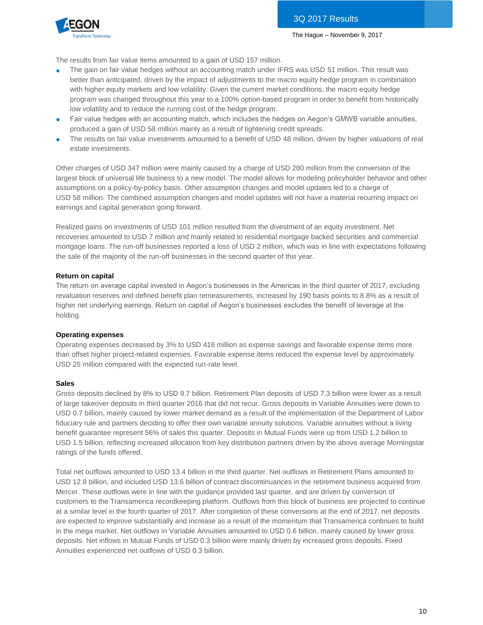

The results from fair value items amounted to a gain of USD 157 million.

- The gain on fair value hedges without an accounting match under IFRS was USD 51 million. This result was better than anticipated, driven by the impact of adjustments to the macro equity hedge program in combination with higher equity markets and low volatility. Given the current market conditions, the macro equity hedge program was changed throughout this year to a 100% option-based program in order to benefit from historically low volatility and to reduce the running cost of the hedge program.
- Fair value hedges with an accounting match, which includes the hedges on Aegon's GMWB variable annuities, produced a gain of USD 58 million mainly as a result of tightening credit spreads.
- The results on fair value investments amounted to a benefit of USD 48 million, driven by higher valuations of real estate investments.

Other charges of USD 347 million were mainly caused by a charge of USD 280 million from the conversion of the largest block of universal life business to a new model. The model allows for modeling policyholder behavior and other assumptions on a policy-by-policy basis. Other assumption changes and model updates led to a charge of USD 58 million. The combined assumption changes and model updates will not have a material recurring impact on earnings and capital generation going forward.

Realized gains on investments of USD 101 million resulted from the divestment of an equity investment. Net recoveries amounted to USD 7 million and mainly related to residential mortgage backed securities and commercial mortgage loans. The run-off businesses reported a loss of USD 2 million, which was in line with expectations following the sale of the majority of the run-off businesses in the second quarter of this year.

#### **Return on capital**

The return on average capital invested in Aegon's businesses in the Americas in the third quarter of 2017, excluding revaluation reserves and defined benefit plan remeasurements, increased by 190 basis points to 8.8% as a result of higher net underlying earnings. Return on capital of Aegon's businesses excludes the benefit of leverage at the holding.

#### **Operating expenses**

Operating expenses decreased by 3% to USD 416 million as expense savings and favorable expense items more than offset higher project-related expenses. Favorable expense items reduced the expense level by approximately USD 25 million compared with the expected run-rate level.

#### **Sales**

Gross deposits declined by 8% to USD 9.7 billion. Retirement Plan deposits of USD 7.3 billion were lower as a result of large takeover deposits in third quarter 2016 that did not recur. Gross deposits in Variable Annuities were down to USD 0.7 billion, mainly caused by lower market demand as a result of the implementation of the Department of Labor fiduciary rule and partners deciding to offer their own variable annuity solutions. Variable annuities without a living benefit guarantee represent 56% of sales this quarter. Deposits in Mutual Funds were up from USD 1.2 billion to USD 1.5 billion, reflecting increased allocation from key distribution partners driven by the above average Morningstar ratings of the funds offered.

Total net outflows amounted to USD 13.4 billion in the third quarter. Net outflows in Retirement Plans amounted to USD 12.8 billion, and included USD 13.6 billion of contract discontinuances in the retirement business acquired from Mercer. These outflows were in line with the guidance provided last quarter, and are driven by conversion of customers to the Transamerica recordkeeping platform. Outflows from this block of business are projected to continue at a similar level in the fourth quarter of 2017. After completion of these conversions at the end of 2017, net deposits are expected to improve substantially and increase as a result of the momentum that Transamerica continues to build in the mega market. Net outflows in Variable Annuities amounted to USD 0.6 billion, mainly caused by lower gross deposits. Net inflows in Mutual Funds of USD 0.3 billion were mainly driven by increased gross deposits. Fixed Annuities experienced net outflows of USD 0.3 billion.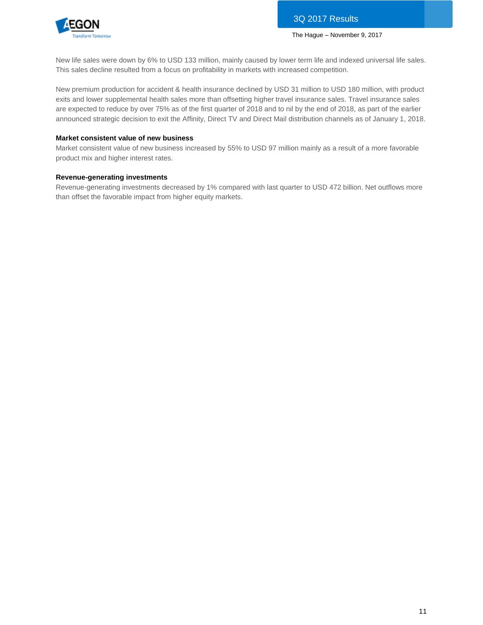

New life sales were down by 6% to USD 133 million, mainly caused by lower term life and indexed universal life sales. This sales decline resulted from a focus on profitability in markets with increased competition.

New premium production for accident & health insurance declined by USD 31 million to USD 180 million, with product exits and lower supplemental health sales more than offsetting higher travel insurance sales. Travel insurance sales are expected to reduce by over 75% as of the first quarter of 2018 and to nil by the end of 2018, as part of the earlier announced strategic decision to exit the Affinity, Direct TV and Direct Mail distribution channels as of January 1, 2018.

#### **Market consistent value of new business**

Market consistent value of new business increased by 55% to USD 97 million mainly as a result of a more favorable product mix and higher interest rates.

#### **Revenue-generating investments**

Revenue-generating investments decreased by 1% compared with last quarter to USD 472 billion. Net outflows more than offset the favorable impact from higher equity markets.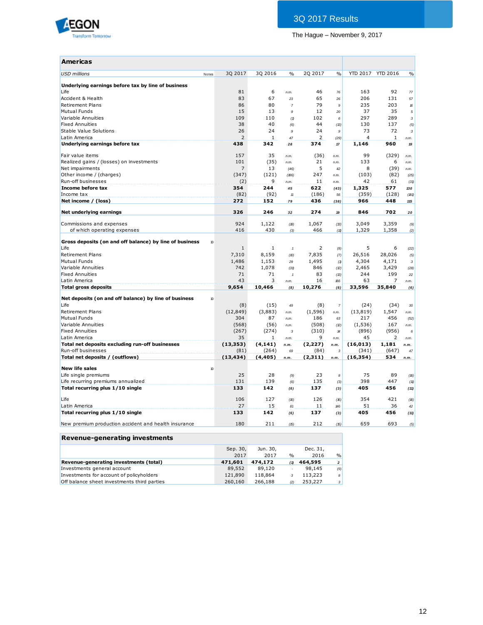

| <b>Americas</b>                                                             |                |          |                     |                |                |                |                   |               |
|-----------------------------------------------------------------------------|----------------|----------|---------------------|----------------|----------------|----------------|-------------------|---------------|
| <b>USD millions</b><br>Notes                                                | 30 2017        | 3Q 2016  | $\frac{0}{0}$       | 2Q 2017        | $\frac{0}{0}$  |                | YTD 2017 YTD 2016 | $\frac{0}{0}$ |
| Underlying earnings before tax by line of business                          |                |          |                     |                |                |                |                   |               |
| Life                                                                        | 81             | 6        | n.m.                | 46             | 76             | 163            | 92                | 77            |
| Accident & Health                                                           | 83             | 67       | 23                  | 65             | 26             | 206            | 131               | 57            |
| <b>Retirement Plans</b>                                                     | 86             | 80       | $\overline{7}$      | 79             | 9              | 235            | 203               | 16            |
| <b>Mutual Funds</b>                                                         | 15             | 13       | $\mathfrak{g}$      | 12             | 20             | 37             | 35                | 5             |
| Variable Annuities                                                          | 109            | 110      | (1)                 | 102            | 6              | 297            | 289               | $\mathbf 3$   |
| <b>Fixed Annuities</b>                                                      | 38             | 40       | (6)                 | 44             | (13)           | 130            | 137               | (5)           |
| Stable Value Solutions                                                      | 26             | 24       | 9                   | 24             | 9              | 73             | 72                | 3             |
| Latin America                                                               | $\overline{2}$ | 1        | 47                  | 2              | (29)           | $\overline{4}$ | $\mathbf{1}$      | n.m.          |
| Underlying earnings before tax                                              | 438            | 342      | 28                  | 374            | $17\,$         | 1,146          | 960               | 19            |
| Fair value items                                                            | 157            | 35       | n.m.                | (36)           | n.m.           | 99             | (329)             | n.m.          |
| Realized gains / (losses) on investments                                    | 101            | (35)     | n.m.                | 21             | n.m.           | 133            | 6                 | n.m.          |
| Net impairments                                                             | $\overline{7}$ | 13       | (46)                | 5              | 42             | 8              | (39)              | n.m.          |
| Other income / (charges)                                                    | (347)          | (121)    | (186)               | 247            | n.m.           | (103)          | (82)              | (25)          |
| Run-off businesses                                                          | (2)            | 9        | n.m.                | 11             | n.m.           | 42             | 61                | (31)          |
| Income before tax                                                           | 354            | 244      | 45                  | 622            | (43)           | 1,325          | 577               | 130           |
| Income tax                                                                  | (82)           | (92)     | $\boldsymbol{\eta}$ | (186)          | 56             | (359)          | (128)             | (181)         |
| Net income / (loss)                                                         | 272            | 152      | 79                  | 436            | (38)           | 966            | 448               | 115           |
| Net underlying earnings                                                     | 326            | 246      | 32                  | 274            | 19             | 846            | 702               | 20            |
| Commissions and expenses                                                    | 924            | 1,122    | (B)                 | 1,067          | (13)           | 3,049          | 3,359             | (9)           |
| of which operating expenses                                                 | 416            | 430      | (3)                 | 466            | (11)           | 1,329          | 1,358             | (2)           |
|                                                                             |                |          |                     |                |                |                |                   |               |
| Gross deposits (on and off balance) by line of business<br>10 <sup>10</sup> |                |          |                     |                |                |                |                   |               |
| Life                                                                        | 1              | 1        | $\mathbf{1}$        | $\overline{2}$ | (8)            | 5              | 6                 | (22)          |
| <b>Retirement Plans</b>                                                     | 7,310          | 8,159    | (D)                 | 7,835          | (7)            | 26,516         | 28,026            | (5)           |
| <b>Mutual Funds</b>                                                         | 1,486          | 1,153    | 29                  | 1,495          | (1)            | 4,304          | 4,171             | 3             |
| Variable Annuities                                                          | 742            | 1,078    | (31)                | 846            | (2)            | 2,465          | 3,429             | (28)          |
| <b>Fixed Annuities</b>                                                      | 71             | 71       | $\mathbf{1}$        | 83             | (13)           | 244            | 199               | 22            |
| Latin America                                                               | 43             | 3        | n.m.                | 16             | 166            | 63             | 7                 | n.m.          |
| <b>Total gross deposits</b>                                                 | 9,654          | 10,466   | (8)                 | 10,276         | (6)            | 33,596         | 35,840            | (6)           |
| Net deposits (on and off balance) by line of business<br>10                 |                |          |                     |                |                |                |                   |               |
| Life                                                                        | (8)            | (15)     | 49                  | (8)            | $\overline{7}$ | (24)           | (34)              | 30            |
| <b>Retirement Plans</b>                                                     | (12, 849)      | (3,883)  | n.m.                | (1, 596)       | n.m.           | (13, 819)      | 1,547             | n.m.          |
| <b>Mutual Funds</b>                                                         | 304            | 87       | n.m.                | 186            | 63             | 217            | 456               | (52)          |
| Variable Annuities                                                          | (568)          | (56)     | n.m.                | (508)          | (2)            | (1,536)        | 167               | n.m.          |
| <b>Fixed Annuities</b>                                                      | (267)          | (274)    | 3                   | (310)          | 14             | (896)          | (956)             | 6             |
| Latin America                                                               | 35             | 1        | n.m.                | 9              | n.m.           | 45             | $\overline{2}$    | n.m.          |
| Total net deposits excluding run-off businesses                             | (13, 353)      | (4, 141) | n.m.                | (2,227)        | n.m.           | (16, 013)      | 1,181             | n.m.          |
| Run-off businesses                                                          | (81)           | (264)    | 69                  | (84)           | 3              | (341)          | (647)             | 47            |
| Total net deposits / (outflows)                                             | (13, 434)      | (4, 405) | n.m.                | (2,311)        | n.m.           | (16, 354)      | 534               | n.m.          |
| <b>New life sales</b><br>10                                                 |                |          |                     |                |                |                |                   |               |
| Life single premiums                                                        | 25             | 28       | (9)                 | 23             | 8              | 75             | 89                | (16)          |
| Life recurring premiums annualized                                          | 131            | 139      | (6)                 | 135            | (3)            | 398            | 447               | (11)          |
| Total recurring plus 1/10 single                                            | 133            | 142      | (6)                 | 137            | (3)            | 405            | 456               | (11)          |
| Life                                                                        | 106            | 127      | (16)                | 126            | (16)           | 354            | 421               | (16)          |
| Latin America                                                               | 27             | 15       | 81                  | 11             | 146            | 51             | 36                | 42            |
| Total recurring plus 1/10 single                                            | 133            | 142      | (6)                 | 137            | (3)            | 405            | 456               | (11)          |
| New premium production accident and health insurance                        | 180            | 211      | (15)                | 212            | (15)           | 659            | 693               | (5)           |

## **Revenue-generating investments**

|                                             | Sep. 30, | Jun. 30, |               | Dec. 31, |                |
|---------------------------------------------|----------|----------|---------------|----------|----------------|
|                                             | 2017     | 2017     | $\frac{0}{0}$ | 2016     | $\frac{0}{0}$  |
| Revenue-generating investments (total)      | 471,601  | 474,172  | (1)           | 464,595  | $\overline{a}$ |
| Investments general account                 | 89,552   | 89,120   |               | 98,145   | (9)            |
| Investments for account of policyholders    | 121,890  | 118,864  |               | 113,223  | 8              |
| Off balance sheet investments third parties | 260,160  | 266,188  | (2)           | 253,227  | 3              |
|                                             |          |          |               |          |                |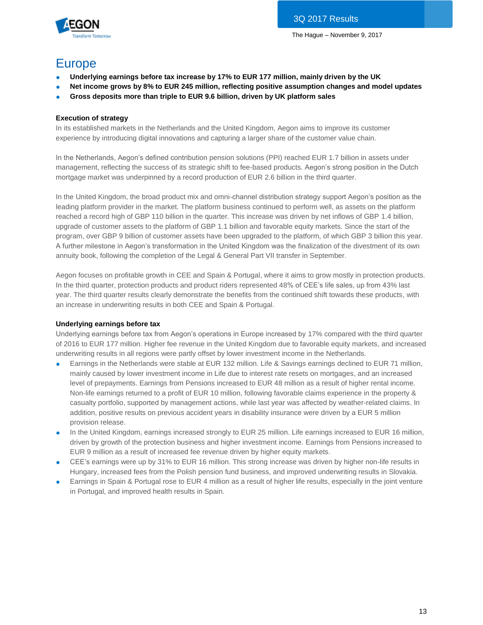

## Europe

- **Underlying earnings before tax increase by 17% to EUR 177 million, mainly driven by the UK**
- **Net income grows by 8% to EUR 245 million, reflecting positive assumption changes and model updates**
- **Gross deposits more than triple to EUR 9.6 billion, driven by UK platform sales**

#### **Execution of strategy**

In its established markets in the Netherlands and the United Kingdom, Aegon aims to improve its customer experience by introducing digital innovations and capturing a larger share of the customer value chain.

In the Netherlands, Aegon's defined contribution pension solutions (PPI) reached EUR 1.7 billion in assets under management, reflecting the success of its strategic shift to fee-based products. Aegon's strong position in the Dutch mortgage market was underpinned by a record production of EUR 2.6 billion in the third quarter.

In the United Kingdom, the broad product mix and omni-channel distribution strategy support Aegon's position as the leading platform provider in the market. The platform business continued to perform well, as assets on the platform reached a record high of GBP 110 billion in the quarter. This increase was driven by net inflows of GBP 1.4 billion, upgrade of customer assets to the platform of GBP 1.1 billion and favorable equity markets. Since the start of the program, over GBP 9 billion of customer assets have been upgraded to the platform, of which GBP 3 billion this year. A further milestone in Aegon's transformation in the United Kingdom was the finalization of the divestment of its own annuity book, following the completion of the Legal & General Part VII transfer in September.

Aegon focuses on profitable growth in CEE and Spain & Portugal, where it aims to grow mostly in protection products. In the third quarter, protection products and product riders represented 48% of CEE's life sales, up from 43% last year. The third quarter results clearly demonstrate the benefits from the continued shift towards these products, with an increase in underwriting results in both CEE and Spain & Portugal.

### **Underlying earnings before tax**

Underlying earnings before tax from Aegon's operations in Europe increased by 17% compared with the third quarter of 2016 to EUR 177 million. Higher fee revenue in the United Kingdom due to favorable equity markets, and increased underwriting results in all regions were partly offset by lower investment income in the Netherlands.

- Earnings in the Netherlands were stable at EUR 132 million. Life & Savings earnings declined to EUR 71 million, mainly caused by lower investment income in Life due to interest rate resets on mortgages, and an increased level of prepayments. Earnings from Pensions increased to EUR 48 million as a result of higher rental income. Non-life earnings returned to a profit of EUR 10 million, following favorable claims experience in the property & casualty portfolio, supported by management actions, while last year was affected by weather-related claims. In addition, positive results on previous accident years in disability insurance were driven by a EUR 5 million provision release.
- In the United Kingdom, earnings increased strongly to EUR 25 million. Life earnings increased to EUR 16 million, driven by growth of the protection business and higher investment income. Earnings from Pensions increased to EUR 9 million as a result of increased fee revenue driven by higher equity markets.
- CEE's earnings were up by 31% to EUR 16 million. This strong increase was driven by higher non-life results in Hungary, increased fees from the Polish pension fund business, and improved underwriting results in Slovakia.
- Earnings in Spain & Portugal rose to EUR 4 million as a result of higher life results, especially in the joint venture in Portugal, and improved health results in Spain.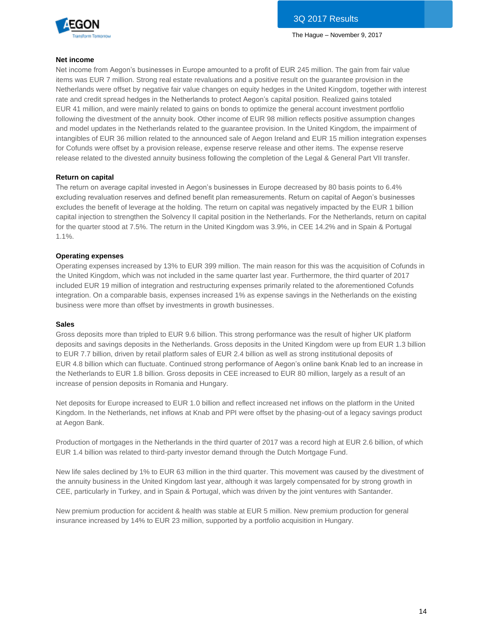

#### **Net income**

Net income from Aegon's businesses in Europe amounted to a profit of EUR 245 million. The gain from fair value items was EUR 7 million. Strong real estate revaluations and a positive result on the guarantee provision in the Netherlands were offset by negative fair value changes on equity hedges in the United Kingdom, together with interest rate and credit spread hedges in the Netherlands to protect Aegon's capital position. Realized gains totaled EUR 41 million, and were mainly related to gains on bonds to optimize the general account investment portfolio following the divestment of the annuity book. Other income of EUR 98 million reflects positive assumption changes and model updates in the Netherlands related to the guarantee provision. In the United Kingdom, the impairment of intangibles of EUR 36 million related to the announced sale of Aegon Ireland and EUR 15 million integration expenses for Cofunds were offset by a provision release, expense reserve release and other items. The expense reserve release related to the divested annuity business following the completion of the Legal & General Part VII transfer.

#### **Return on capital**

The return on average capital invested in Aegon's businesses in Europe decreased by 80 basis points to 6.4% excluding revaluation reserves and defined benefit plan remeasurements. Return on capital of Aegon's businesses excludes the benefit of leverage at the holding. The return on capital was negatively impacted by the EUR 1 billion capital injection to strengthen the Solvency II capital position in the Netherlands. For the Netherlands, return on capital for the quarter stood at 7.5%. The return in the United Kingdom was 3.9%, in CEE 14.2% and in Spain & Portugal 1.1%.

#### **Operating expenses**

Operating expenses increased by 13% to EUR 399 million. The main reason for this was the acquisition of Cofunds in the United Kingdom, which was not included in the same quarter last year. Furthermore, the third quarter of 2017 included EUR 19 million of integration and restructuring expenses primarily related to the aforementioned Cofunds integration. On a comparable basis, expenses increased 1% as expense savings in the Netherlands on the existing business were more than offset by investments in growth businesses.

#### **Sales**

Gross deposits more than tripled to EUR 9.6 billion. This strong performance was the result of higher UK platform deposits and savings deposits in the Netherlands. Gross deposits in the United Kingdom were up from EUR 1.3 billion to EUR 7.7 billion, driven by retail platform sales of EUR 2.4 billion as well as strong institutional deposits of EUR 4.8 billion which can fluctuate. Continued strong performance of Aegon's online bank Knab led to an increase in the Netherlands to EUR 1.8 billion. Gross deposits in CEE increased to EUR 80 million, largely as a result of an increase of pension deposits in Romania and Hungary.

Net deposits for Europe increased to EUR 1.0 billion and reflect increased net inflows on the platform in the United Kingdom. In the Netherlands, net inflows at Knab and PPI were offset by the phasing-out of a legacy savings product at Aegon Bank.

Production of mortgages in the Netherlands in the third quarter of 2017 was a record high at EUR 2.6 billion, of which EUR 1.4 billion was related to third-party investor demand through the Dutch Mortgage Fund.

New life sales declined by 1% to EUR 63 million in the third quarter. This movement was caused by the divestment of the annuity business in the United Kingdom last year, although it was largely compensated for by strong growth in CEE, particularly in Turkey, and in Spain & Portugal, which was driven by the joint ventures with Santander.

New premium production for accident & health was stable at EUR 5 million. New premium production for general insurance increased by 14% to EUR 23 million, supported by a portfolio acquisition in Hungary.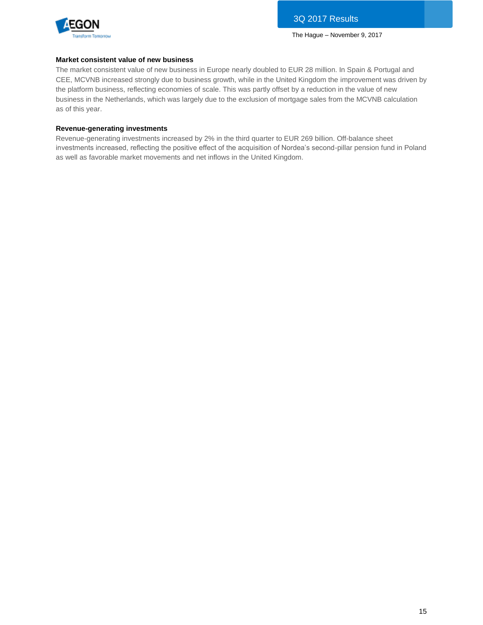

#### **Market consistent value of new business**

The market consistent value of new business in Europe nearly doubled to EUR 28 million. In Spain & Portugal and CEE, MCVNB increased strongly due to business growth, while in the United Kingdom the improvement was driven by the platform business, reflecting economies of scale. This was partly offset by a reduction in the value of new business in the Netherlands, which was largely due to the exclusion of mortgage sales from the MCVNB calculation as of this year.

#### **Revenue-generating investments**

Revenue-generating investments increased by 2% in the third quarter to EUR 269 billion. Off-balance sheet investments increased, reflecting the positive effect of the acquisition of Nordea's second-pillar pension fund in Poland as well as favorable market movements and net inflows in the United Kingdom.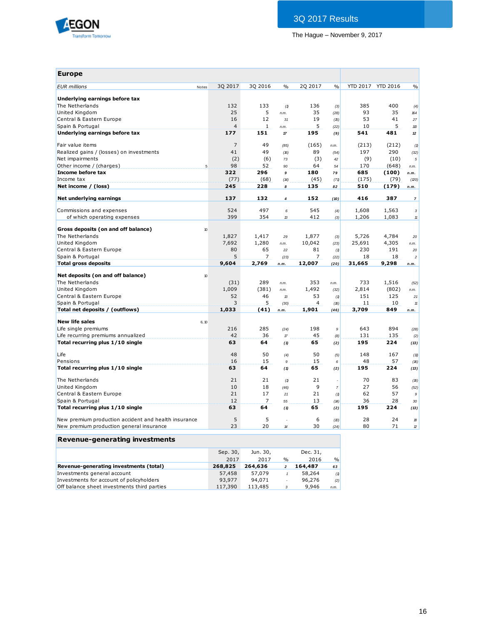

| <b>Europe</b>                                        |                 |                |                |                                   |                      |                |                 |                 |                  |
|------------------------------------------------------|-----------------|----------------|----------------|-----------------------------------|----------------------|----------------|-----------------|-----------------|------------------|
| <b>EUR</b> millions                                  | Notes           | 3Q 2017        | 3Q 2016        | $\frac{0}{0}$                     | 2Q 2017              | $\frac{0}{0}$  | <b>YTD 2017</b> | <b>YTD 2016</b> | $\frac{0}{0}$    |
|                                                      |                 |                |                |                                   |                      |                |                 |                 |                  |
| Underlying earnings before tax                       |                 |                |                |                                   |                      |                |                 |                 |                  |
| The Netherlands                                      |                 | 132            | 133            | (1)                               | 136                  | (3)            | 385             | 400             | (4)              |
| United Kingdom                                       |                 | 25             | 5              | n.m.                              | 35                   | (28)           | 93              | 35              | 164              |
| Central & Eastern Europe                             |                 | 16             | 12             | 31                                | 19                   | (15)           | 53              | 41              | 27               |
| Spain & Portugal                                     |                 | $\overline{4}$ | $\mathbf{1}$   | n.m.                              | 5                    | (22)           | 10              | 5               | 110              |
| Underlying earnings before tax                       |                 | 177            | 151            | 17                                | 195                  | (9)            | 541             | 481             | 12               |
| Fair value items                                     |                 | 7              | 49             | (85)                              | (165)                | n.m.           | (213)           | (212)           | (1)              |
| Realized gains / (losses) on investments             |                 | 41             | 49             | (16)                              | 89                   | (54)           | 197             | 290             | (32)             |
| Net impairments                                      |                 | (2)            | (6)            | 73                                | (3)                  | 42             | (9)             | (10)            | $\sqrt{5}$       |
| Other income / (charges)                             | $5\phantom{.0}$ | 98             | 52             | 90                                | 64                   | 54             | 170             | (648)           | n.m.             |
| Income before tax                                    |                 | 322            | 296            | $\mathbf q$                       | 180                  | 79             | 685             | (100)           | n.m.             |
| Income tax                                           |                 | (77)           | (68)           | (14)                              | (45)                 | (71)           | (175)           | (79)            | (20)             |
| Net income / (loss)                                  |                 | 245            | 228            | 8                                 | 135                  | 82             | 510             | (179)           | n.m.             |
|                                                      |                 |                |                |                                   |                      |                |                 |                 |                  |
| Net underlying earnings                              |                 | 137            | 132            | 4                                 | 152                  | (10)           | 416             | 387             | $\overline{7}$   |
| Commissions and expenses                             |                 | 524            | 497            | 6                                 | 545                  | (4)            | 1,608           | 1,563           | 3                |
| of which operating expenses                          |                 | 399            | 354            | 13                                | 412                  | (3)            | 1,206           | 1,083           | $11$             |
|                                                      |                 |                |                |                                   |                      |                |                 |                 |                  |
| Gross deposits (on and off balance)                  | 10              |                |                |                                   |                      |                |                 |                 |                  |
| The Netherlands                                      |                 | 1,827          | 1,417          | 29                                | 1,877                | (3)            | 5,726           | 4,784           | 20               |
| United Kingdom                                       |                 | 7,692          | 1,280          | n.m.                              | 10,042               | (23)           | 25,691          | 4,305           | n.m.             |
| Central & Eastern Europe                             |                 | 80             | 65             | 22                                | 81                   | (1)            | 230             | 191             | 20               |
| Spain & Portugal                                     |                 | 5              | 7              | (23)                              | 7                    | (22)           | 18              | 18              | $\overline{c}$   |
| <b>Total gross deposits</b>                          |                 | 9,604          | 2,769          | n.m.                              | 12,007               | (20)           | 31,665          | 9,298           | n.m.             |
| Net deposits (on and off balance)                    | 10              |                |                |                                   |                      |                |                 |                 |                  |
| The Netherlands                                      |                 | (31)           | 289            |                                   | 353                  |                | 733             | 1,516           |                  |
| United Kingdom                                       |                 | 1,009          |                | n.m.                              | 1,492                | n.m.           | 2,814           |                 | (52)             |
|                                                      |                 |                | (381)<br>46    | n.m.                              |                      | (32)           | 151             | (802)<br>125    | n.m.             |
| Central & Eastern Europe                             |                 | 52<br>3        | 5              | $\mathcal B$                      | 53<br>$\overline{4}$ | (1)            |                 |                 | 21               |
| Spain & Portugal<br>Total net deposits / (outflows)  |                 | 1,033          | (41)           | (30)                              | 1,901                | (16)           | 11<br>3,709     | 10<br>849       | $11$             |
|                                                      |                 |                |                | n.m.                              |                      | (46)           |                 |                 | n.m.             |
| <b>New life sales</b>                                | 6, 10           |                |                |                                   |                      |                |                 |                 |                  |
| Life single premiums                                 |                 | 216            | 285            | (24)                              | 198                  | 9              | 643             | 894             | (28)             |
| Life recurring premiums annualized                   |                 | 42             | 36             | $\ensuremath{\mathcal{T}}\xspace$ | 45                   | (8)            | 131             | 135             | (2)              |
| Total recurring plus 1/10 single                     |                 | 63             | 64             | (1)                               | 65                   | (2)            | 195             | 224             | (13)             |
| Life                                                 |                 | 48             | 50             | (4)                               | 50                   | (5)            | 148             | 167             | (11)             |
| Pensions                                             |                 | 16             | 15             | $\mathfrak g$                     | 15                   | 6              | 48              | 57              | (16)             |
| Total recurring plus 1/10 single                     |                 | 63             | 64             | (1)                               | 65                   | (2)            | 195             | 224             | (13)             |
| The Netherlands                                      |                 | 21             | 21             | (1)                               | 21                   |                | 70              | 83              | (16)             |
| United Kingdom                                       |                 | 10             | 18             | (46)                              | 9                    | $\overline{7}$ | 27              | 56              | (52)             |
| Central & Eastern Europe                             |                 | 21             | 17             | 21                                | 21                   | (1)            | 62              | 57              | $\boldsymbol{9}$ |
| Spain & Portugal                                     |                 | 12             | $\overline{7}$ | 55                                | 13                   | (14)           | 36              | 28              | 30               |
| Total recurring plus 1/10 single                     |                 | 63             | 64             | (1)                               | 65                   | (2)            | 195             | 224             | (13)             |
|                                                      |                 |                |                |                                   |                      |                |                 |                 |                  |
| New premium production accident and health insurance |                 | 5              | 5              |                                   | 6                    | (D)            | 28              | 24              | 18               |
| New premium production general insurance             |                 | 23             | 20             | $\boldsymbol{\mu}$                | 30                   | (24)           | 80              | 71              | 12               |
| Revenue-generating investments                       |                 |                |                |                                   |                      |                |                 |                 |                  |

| <u>Kevenae generating investments</u>       |          |          |                          |          |               |
|---------------------------------------------|----------|----------|--------------------------|----------|---------------|
|                                             | Sep. 30, | Jun. 30, |                          | Dec. 31, |               |
|                                             | 2017     | 2017     | $\%$                     | 2016     | $\frac{0}{0}$ |
| Revenue-generating investments (total)      | 268.825  | 264,636  | 2                        | 164,487  | 63            |
| Investments general account                 | 57,458   | 57,079   |                          | 58,264   | (1)           |
| Investments for account of policyholders    | 93,977   | 94.071   | $\overline{\phantom{a}}$ | 96,276   | (2)           |
| Off balance sheet investments third parties | 117,390  | 113,485  | 3                        | 9,946    | n.m.          |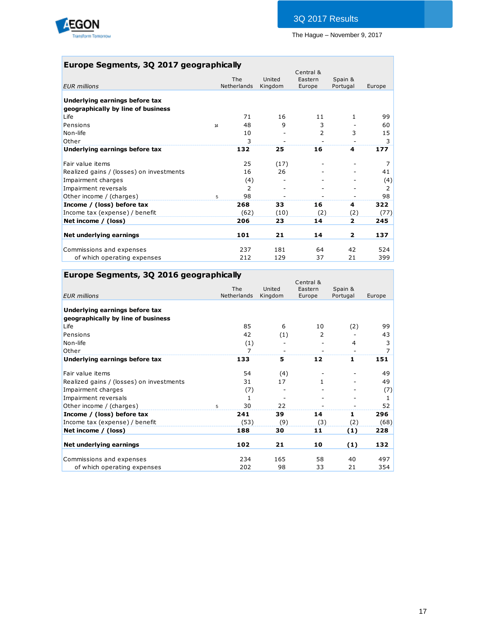

## **Europe Segments, 3Q 2017 geographically**

| United<br>The<br>Netherlands<br><b>EUR</b> millions<br>Underlying earnings before tax<br>geographically by line of business<br>71<br>Life<br>Pensions<br>48<br>14<br>Non-life<br>10<br>Other<br>3<br>132 | Eastern<br>Kingdom<br>Europe<br>16<br>9<br>16<br>25 | Spain &<br>Portugal<br>11<br>1.<br>3<br>3<br>2<br>4 | Europe<br>99<br>60<br>15<br>3<br>177 |
|----------------------------------------------------------------------------------------------------------------------------------------------------------------------------------------------------------|-----------------------------------------------------|-----------------------------------------------------|--------------------------------------|
|                                                                                                                                                                                                          |                                                     |                                                     |                                      |
|                                                                                                                                                                                                          |                                                     |                                                     |                                      |
|                                                                                                                                                                                                          |                                                     |                                                     |                                      |
|                                                                                                                                                                                                          |                                                     |                                                     |                                      |
|                                                                                                                                                                                                          |                                                     |                                                     |                                      |
|                                                                                                                                                                                                          |                                                     |                                                     |                                      |
|                                                                                                                                                                                                          |                                                     |                                                     |                                      |
|                                                                                                                                                                                                          |                                                     |                                                     |                                      |
| Underlying earnings before tax                                                                                                                                                                           |                                                     |                                                     |                                      |
| 25<br>Fair value items                                                                                                                                                                                   | (17)                                                |                                                     | 7                                    |
| 16<br>Realized gains / (losses) on investments                                                                                                                                                           | 26                                                  |                                                     | 41                                   |
| Impairment charges<br>(4)                                                                                                                                                                                |                                                     |                                                     | (4)                                  |
| $\mathcal{P}$<br>Impairment reversals                                                                                                                                                                    |                                                     |                                                     | 2                                    |
| 98<br>Other income / (charges)<br>5                                                                                                                                                                      |                                                     |                                                     | 98                                   |
| Income / (loss) before tax<br>268                                                                                                                                                                        | 33<br>16                                            | 4                                                   | 322                                  |
| (62)<br>Income tax (expense) / benefit                                                                                                                                                                   | (10)                                                | (2)<br>(2)                                          | (77)                                 |
| 206<br>Net income / (loss)                                                                                                                                                                               | 14<br>23                                            | $\overline{2}$                                      | 245                                  |
| Net underlying earnings<br>101                                                                                                                                                                           | 21<br>14                                            | $\overline{\mathbf{2}}$                             | 137                                  |
| 237<br>Commissions and expenses                                                                                                                                                                          | 181<br>64                                           | 42                                                  | 524                                  |
| 212<br>of which operating expenses                                                                                                                                                                       | 129<br>37                                           | 21                                                  | 399                                  |

## **Europe Segments, 3Q 2016 geographically**

|                                          |                    |                   | Central &         |                     |        |
|------------------------------------------|--------------------|-------------------|-------------------|---------------------|--------|
| <b>EUR</b> millions                      | The<br>Netherlands | United<br>Kingdom | Eastern<br>Europe | Spain &<br>Portugal | Europe |
|                                          |                    |                   |                   |                     |        |
| Underlying earnings before tax           |                    |                   |                   |                     |        |
| geographically by line of business       |                    |                   |                   |                     |        |
| Life                                     | 85                 | 6                 | 10                | (2)                 | 99     |
| Pensions                                 | 42                 | (1)               | 2                 |                     | 43     |
| Non-life                                 | (1)                |                   |                   | 4                   | 3      |
| Other                                    | 7                  |                   |                   |                     | 7      |
| Underlying earnings before tax           | 133                | 5                 | 12                | $\mathbf{1}$        | 151    |
| Fair value items                         | 54                 | (4)               |                   |                     | 49     |
| Realized gains / (losses) on investments | 31                 | 17                | 1.                |                     | 49     |
| Impairment charges                       | (7)                |                   |                   |                     | (7)    |
| Impairment reversals                     | 1                  |                   |                   |                     | 1      |
| Other income / (charges)                 | 30<br>-5           | 22                |                   |                     | 52     |
| Income / (loss) before tax               | 241                | 39                | 14                | 1                   | 296    |
| Income tax (expense) / benefit           | (53)               | (9)               | (3)               | (2)                 | (68)   |
| Net income / (loss)                      | 188                | 30                | 11                | (1)                 | 228    |
| Net underlying earnings                  | 102                | 21                | 10                | (1)                 | 132    |
|                                          |                    |                   |                   |                     |        |
| Commissions and expenses                 | 234                | 165               | 58                | 40                  | 497    |
| of which operating expenses              | 202                | 98                | 33                | 21                  | 354    |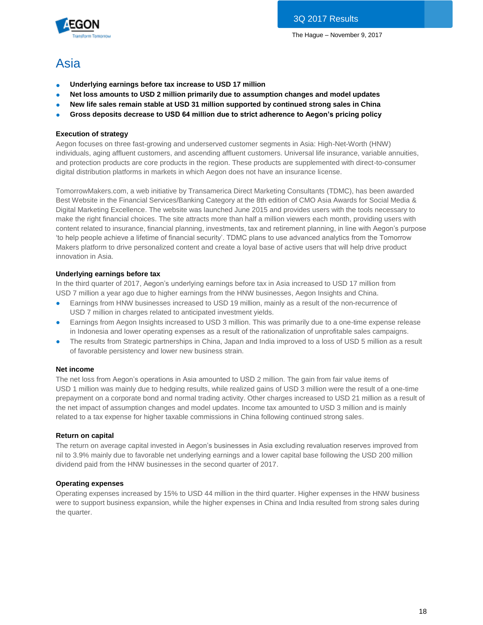

## Asia

- **Underlying earnings before tax increase to USD 17 million**
- Net loss amounts to USD 2 million primarily due to assumption changes and model updates
- New life sales remain stable at USD 31 million supported by continued strong sales in China
- **Gross deposits decrease to USD 64 million due to strict adherence to Aegon's pricing policy**

#### **Execution of strategy**

Aegon focuses on three fast-growing and underserved customer segments in Asia: High-Net-Worth (HNW) individuals, aging affluent customers, and ascending affluent customers. Universal life insurance, variable annuities, and protection products are core products in the region. These products are supplemented with direct-to-consumer digital distribution platforms in markets in which Aegon does not have an insurance license.

TomorrowMakers.com, a web initiative by Transamerica Direct Marketing Consultants (TDMC), has been awarded Best Website in the Financial Services/Banking Category at the 8th edition of CMO Asia Awards for Social Media & Digital Marketing Excellence. The website was launched June 2015 and provides users with the tools necessary to make the right financial choices. The site attracts more than half a million viewers each month, providing users with content related to insurance, financial planning, investments, tax and retirement planning, in line with Aegon's purpose 'to help people achieve a lifetime of financial security'. TDMC plans to use advanced analytics from the Tomorrow Makers platform to drive personalized content and create a loyal base of active users that will help drive product innovation in Asia.

#### **Underlying earnings before tax**

In the third quarter of 2017, Aegon's underlying earnings before tax in Asia increased to USD 17 million from USD 7 million a year ago due to higher earnings from the HNW businesses, Aegon Insights and China.

- Earnings from HNW businesses increased to USD 19 million, mainly as a result of the non-recurrence of USD 7 million in charges related to anticipated investment yields.
- Earnings from Aegon Insights increased to USD 3 million. This was primarily due to a one-time expense release in Indonesia and lower operating expenses as a result of the rationalization of unprofitable sales campaigns.
- The results from Strategic partnerships in China, Japan and India improved to a loss of USD 5 million as a result of favorable persistency and lower new business strain.

#### **Net income**

The net loss from Aegon's operations in Asia amounted to USD 2 million. The gain from fair value items of USD 1 million was mainly due to hedging results, while realized gains of USD 3 million were the result of a one-time prepayment on a corporate bond and normal trading activity. Other charges increased to USD 21 million as a result of the net impact of assumption changes and model updates. Income tax amounted to USD 3 million and is mainly related to a tax expense for higher taxable commissions in China following continued strong sales.

#### **Return on capital**

The return on average capital invested in Aegon's businesses in Asia excluding revaluation reserves improved from nil to 3.9% mainly due to favorable net underlying earnings and a lower capital base following the USD 200 million dividend paid from the HNW businesses in the second quarter of 2017.

#### **Operating expenses**

Operating expenses increased by 15% to USD 44 million in the third quarter. Higher expenses in the HNW business were to support business expansion, while the higher expenses in China and India resulted from strong sales during the quarter.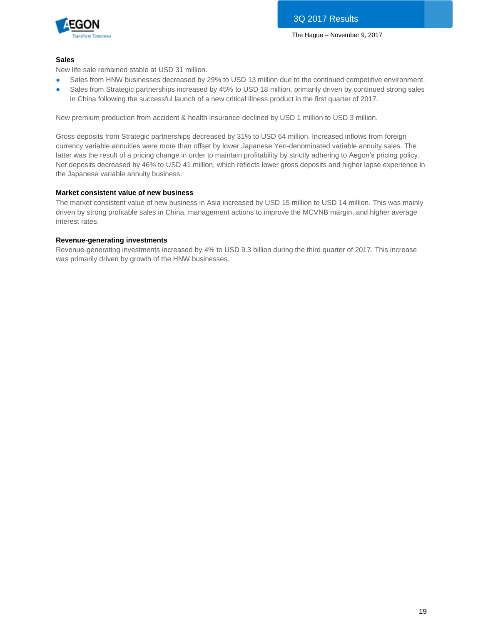

#### **Sales**

New life sale remained stable at USD 31 million.

- Sales from HNW businesses decreased by 29% to USD 13 million due to the continued competitive environment.
- Sales from Strategic partnerships increased by 45% to USD 18 million, primarily driven by continued strong sales in China following the successful launch of a new critical illness product in the first quarter of 2017.

New premium production from accident & health insurance declined by USD 1 million to USD 3 million.

Gross deposits from Strategic partnerships decreased by 31% to USD 64 million. Increased inflows from foreign currency variable annuities were more than offset by lower Japanese Yen-denominated variable annuity sales. The latter was the result of a pricing change in order to maintain profitability by strictly adhering to Aegon's pricing policy. Net deposits decreased by 46% to USD 41 million, which reflects lower gross deposits and higher lapse experience in the Japanese variable annuity business.

#### **Market consistent value of new business**

The market consistent value of new business in Asia increased by USD 15 million to USD 14 million. This was mainly driven by strong profitable sales in China, management actions to improve the MCVNB margin, and higher average interest rates.

#### **Revenue-generating investments**

Revenue-generating investments increased by 4% to USD 9.3 billion during the third quarter of 2017. This increase was primarily driven by growth of the HNW businesses.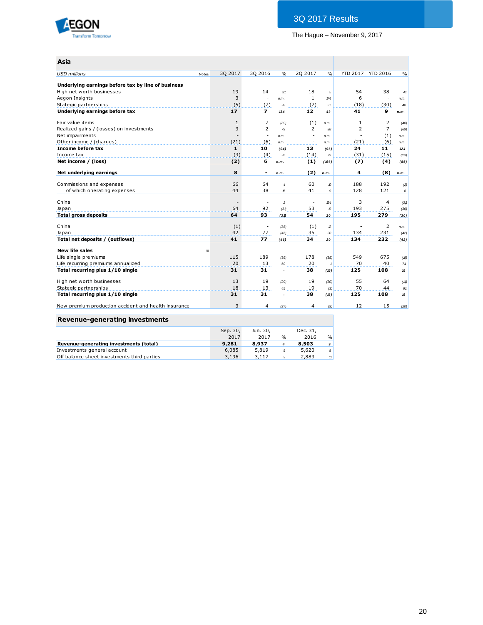

| Asia                                                 |                          |                          |                      |                          |                  |      |                   |               |
|------------------------------------------------------|--------------------------|--------------------------|----------------------|--------------------------|------------------|------|-------------------|---------------|
| <b>USD</b> millions                                  | 30 2017<br>Notes         | 30 2016                  | $\frac{0}{0}$        | 20 20 17                 | $\frac{0}{0}$    |      | YTD 2017 YTD 2016 | $\frac{0}{0}$ |
| Underlying earnings before tax by line of business   |                          |                          |                      |                          |                  |      |                   |               |
| High net worth businesses                            | 19                       | 14                       | 31                   | 18                       | 5                | 54   | 38                | 41            |
| Aegon Insights                                       | 3                        | $\overline{\phantom{a}}$ | n.m.                 | $\mathbf{1}$             | $\sqrt{74}$      | 6    |                   | n.m.          |
| Stategic partnerships                                | (5)                      | (7)                      | 28                   | (7)                      | 27               | (18) | (30)              | 40            |
| Underlying earnings before tax                       | 17                       | $\overline{ }$           | 134                  | 12                       | 43               | 41   | 9                 | n.m.          |
| Fair value items                                     | $\mathbf{1}$             | 7                        | (82)                 | (1)                      | n.m.             | 1    | $\overline{2}$    | (40)          |
| Realized gains / (losses) on investments             | 3                        | $\overline{2}$           | 79                   | $\overline{2}$           | 38               | 2    | $\overline{7}$    | (69)          |
| Net impairments                                      | $\overline{\phantom{a}}$ | ä,                       | n.m.                 | ٠                        | n.m.             | ä,   | (1)               | n.m.          |
| Other income / (charges)                             | (21)                     | (6)                      | n.m.                 | ÷,                       | n.m.             | (21) | (6)               | n.m.          |
| Income before tax                                    | $\mathbf{1}$             | 10                       | (94)                 | 13                       | (96)             | 24   | 11                | 124           |
| Income tax                                           | (3)                      | (4)                      | 26                   | (14)                     | 79               | (31) | (15)              | (113)         |
| Net income / (loss)                                  | (2)                      | 6                        | n.m.                 | (1)                      | (166)            | (7)  | (4)               | (85)          |
| Net underlying earnings                              | 8                        | $\blacksquare$           | n.m.                 | (2)                      | n.m.             | 4    | (8)               | n.m.          |
| Commissions and expenses                             | 66                       | 64                       | $\overline{4}$       | 60                       | $\boldsymbol{v}$ | 188  | 192               | (2)           |
| of which operating expenses                          | 44                       | 38                       | 15                   | 41                       | 9                | 128  | 121               | 6             |
| China                                                |                          | $\overline{\phantom{a}}$ | $\overline{a}$       | $\overline{\phantom{a}}$ | 24               | 3    | $\overline{4}$    | (31)          |
| Japan                                                | 64                       | 92                       | (31)                 | 53                       | $\boldsymbol{v}$ | 193  | 275               | (30)          |
| <b>Total gross deposits</b>                          | 64                       | 93                       | (31)                 | 54                       | 20               | 195  | 279               | (30)          |
| China                                                | (1)                      | $\overline{\phantom{a}}$ | (88)                 | (1)                      | $\mathbb{Z}$     |      | $\overline{2}$    | n.m.          |
| Japan                                                | 42                       | 77                       | (46)                 | 35                       | 20               | 134  | 231               | (42)          |
| Total net deposits / (outflows)                      | 41                       | 77                       | (46)                 | 34                       | 20               | 134  | 232               | (42)          |
| <b>New life sales</b>                                | 10                       |                          |                      |                          |                  |      |                   |               |
| Life single premiums                                 | 115                      | 189                      | (39)                 | 178                      | (35)             | 549  | 675               | (19)          |
| Life recurring premiums annualized                   | 20                       | 13                       | 60                   | 20                       | $\overline{1}$   | 70   | 40                | $\mathbf{74}$ |
| Total recurring plus 1/10 single                     | 31                       | 31                       | $\ddot{\phantom{1}}$ | 38                       | (16)             | 125  | 108               | 16            |
| High net worth businesses                            | 13                       | 19                       | (29)                 | 19                       | (30)             | 55   | 64                | (14)          |
| Stategic partnerships                                | 18                       | 13                       | 45                   | 19                       | (3)              | 70   | 44                | 61            |
| Total recurring plus 1/10 single                     | 31                       | 31                       | $\overline{a}$       | 38                       | (16)             | 125  | 108               | 16            |
| New premium production accident and health insurance | 3                        | 4                        | (27)                 | 4                        | (9)              | 12   | 15                | (20)          |

#### **Revenue-generating investments**

|                                             | Sep. 30,<br>2017 | Jun. 30,<br>2017 | $\frac{1}{2}$ | Dec. 31.<br>2016 | $\%$  |
|---------------------------------------------|------------------|------------------|---------------|------------------|-------|
| Revenue-generating investments (total)      | 9,281            | 8,937            |               | 8,503            | 9     |
| Investments general account                 | 6.085            | 5.819            | 5             | 5,620            | 8     |
| Off balance sheet investments third parties | 3.196            | 3,117            |               | 2,883            | $\pi$ |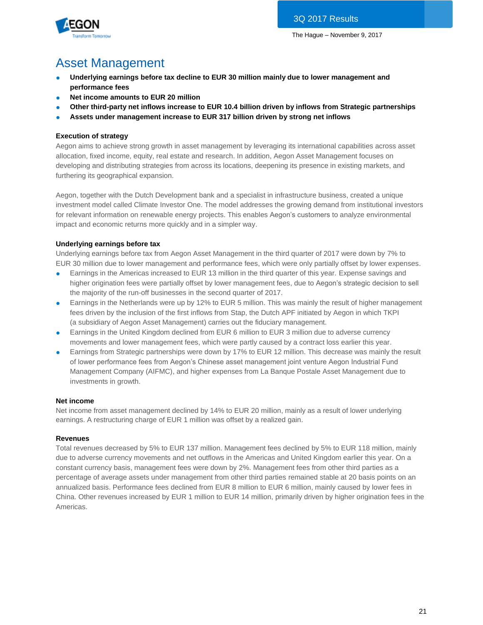

# Asset Management

- Underlying earnings before tax decline to EUR 30 million mainly due to lower management and **performance fees**
- **Net income amounts to EUR 20 million**
- **Other third-party net inflows increase to EUR 10.4 billion driven by inflows from Strategic partnerships**
- **Assets under management increase to EUR 317 billion driven by strong net inflows**

### **Execution of strategy**

Aegon aims to achieve strong growth in asset management by leveraging its international capabilities across asset allocation, fixed income, equity, real estate and research. In addition, Aegon Asset Management focuses on developing and distributing strategies from across its locations, deepening its presence in existing markets, and furthering its geographical expansion.

Aegon, together with the Dutch Development bank and a specialist in infrastructure business, created a unique investment model called Climate Investor One. The model addresses the growing demand from institutional investors for relevant information on renewable energy projects. This enables Aegon's customers to analyze environmental impact and economic returns more quickly and in a simpler way.

### **Underlying earnings before tax**

Underlying earnings before tax from Aegon Asset Management in the third quarter of 2017 were down by 7% to EUR 30 million due to lower management and performance fees, which were only partially offset by lower expenses.

- Earnings in the Americas increased to EUR 13 million in the third quarter of this year. Expense savings and higher origination fees were partially offset by lower management fees, due to Aegon's strategic decision to sell the majority of the run-off businesses in the second quarter of 2017.
- Earnings in the Netherlands were up by 12% to EUR 5 million. This was mainly the result of higher management fees driven by the inclusion of the first inflows from Stap, the Dutch APF initiated by Aegon in which TKPI (a subsidiary of Aegon Asset Management) carries out the fiduciary management.
- Earnings in the United Kingdom declined from EUR 6 million to EUR 3 million due to adverse currency movements and lower management fees, which were partly caused by a contract loss earlier this year.
- Earnings from Strategic partnerships were down by 17% to EUR 12 million. This decrease was mainly the result of lower performance fees from Aegon's Chinese asset management joint venture Aegon Industrial Fund Management Company (AIFMC), and higher expenses from La Banque Postale Asset Management due to investments in growth.

#### **Net income**

Net income from asset management declined by 14% to EUR 20 million, mainly as a result of lower underlying earnings. A restructuring charge of EUR 1 million was offset by a realized gain.

#### **Revenues**

Total revenues decreased by 5% to EUR 137 million. Management fees declined by 5% to EUR 118 million, mainly due to adverse currency movements and net outflows in the Americas and United Kingdom earlier this year. On a constant currency basis, management fees were down by 2%. Management fees from other third parties as a percentage of average assets under management from other third parties remained stable at 20 basis points on an annualized basis. Performance fees declined from EUR 8 million to EUR 6 million, mainly caused by lower fees in China. Other revenues increased by EUR 1 million to EUR 14 million, primarily driven by higher origination fees in the Americas.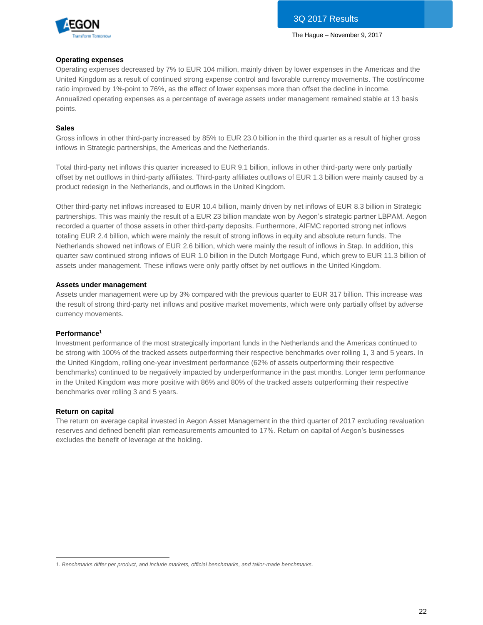

#### **Operating expenses**

Operating expenses decreased by 7% to EUR 104 million, mainly driven by lower expenses in the Americas and the United Kingdom as a result of continued strong expense control and favorable currency movements. The cost/income ratio improved by 1%-point to 76%, as the effect of lower expenses more than offset the decline in income. Annualized operating expenses as a percentage of average assets under management remained stable at 13 basis points.

#### **Sales**

Gross inflows in other third-party increased by 85% to EUR 23.0 billion in the third quarter as a result of higher gross inflows in Strategic partnerships, the Americas and the Netherlands.

Total third-party net inflows this quarter increased to EUR 9.1 billion, inflows in other third-party were only partially offset by net outflows in third-party affiliates. Third-party affiliates outflows of EUR 1.3 billion were mainly caused by a product redesign in the Netherlands, and outflows in the United Kingdom.

Other third-party net inflows increased to EUR 10.4 billion, mainly driven by net inflows of EUR 8.3 billion in Strategic partnerships. This was mainly the result of a EUR 23 billion mandate won by Aegon's strategic partner LBPAM. Aegon recorded a quarter of those assets in other third-party deposits. Furthermore, AIFMC reported strong net inflows totaling EUR 2.4 billion, which were mainly the result of strong inflows in equity and absolute return funds. The Netherlands showed net inflows of EUR 2.6 billion, which were mainly the result of inflows in Stap. In addition, this quarter saw continued strong inflows of EUR 1.0 billion in the Dutch Mortgage Fund, which grew to EUR 11.3 billion of assets under management. These inflows were only partly offset by net outflows in the United Kingdom.

#### **Assets under management**

Assets under management were up by 3% compared with the previous quarter to EUR 317 billion. This increase was the result of strong third-party net inflows and positive market movements, which were only partially offset by adverse currency movements.

#### **Performance<sup>1</sup>**

Investment performance of the most strategically important funds in the Netherlands and the Americas continued to be strong with 100% of the tracked assets outperforming their respective benchmarks over rolling 1, 3 and 5 years. In the United Kingdom, rolling one-year investment performance (62% of assets outperforming their respective benchmarks) continued to be negatively impacted by underperformance in the past months. Longer term performance in the United Kingdom was more positive with 86% and 80% of the tracked assets outperforming their respective benchmarks over rolling 3 and 5 years.

#### **Return on capital**

The return on average capital invested in Aegon Asset Management in the third quarter of 2017 excluding revaluation reserves and defined benefit plan remeasurements amounted to 17%. Return on capital of Aegon's businesses excludes the benefit of leverage at the holding.

 $\overline{a}$ *1. Benchmarks differ per product, and include markets, official benchmarks, and tailor-made benchmarks.*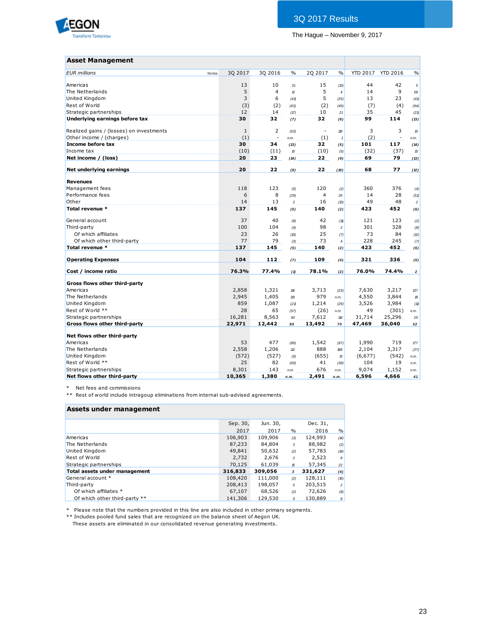

| <b>Asset Management</b>                  |                  |                |                |                          |                          |                 |                          |                  |
|------------------------------------------|------------------|----------------|----------------|--------------------------|--------------------------|-----------------|--------------------------|------------------|
|                                          |                  |                |                |                          |                          |                 |                          |                  |
| <b>EUR</b> millions                      | 30 2017<br>Notes | 30 2016        | $\frac{0}{0}$  | 20 2017                  | $\frac{0}{0}$            | <b>YTD 2017</b> | <b>YTD 2016</b>          | $\frac{0}{0}$    |
| Americas                                 | 13               | 10             | 31             | 15                       | (13)                     | 44              | 42                       | $\sqrt{5}$       |
| The Netherlands                          | 5                | $\overline{4}$ | $\mathbf{z}$   | 5                        | $\overline{4}$           | 14              | 9                        | 58               |
| <b>United Kingdom</b>                    | 3                | 6              | (41)           | 5                        | (25)                     | 13              | 23                       | (41)             |
| Rest of World                            | (3)              | (2)            | (63)           | (2)                      | (49)                     | (7)             | (4)                      | (94)             |
| Strategic partnerships                   | 12               | 14             | (17)           | 10                       | 21                       | 35              | 45                       | (21)             |
| Underlying earnings before tax           | 30               | 32             | (7)            | 32                       | (6)                      | 99              | 114                      | (13)             |
| Realized gains / (losses) on investments | $\mathbf{1}$     | $\overline{2}$ | (63)           | $\overline{\phantom{a}}$ | 119                      | 3               | 3                        | $\boldsymbol{v}$ |
| Other income / (charges)                 | (1)              | ÷,             | n.m.           | (1)                      | $\mathbf{1}$             | (2)             | $\overline{\phantom{a}}$ | n.m.             |
| Income before tax                        | 30               | 34             | (13)           | 32                       | (5)                      | 101             | 117                      | (14)             |
| Income tax                               | (10)             | (11)           | 10             | (10)                     | (5)                      | (32)            | (37)                     | 15               |
| Net income / (loss)                      | 20               | 23             | (14)           | 22                       | (9)                      | 69              | 79                       | (13)             |
| Net underlying earnings                  | 20               | 22             | (8)            | 22                       | (10)                     | 68              | 77                       | (12)             |
| <b>Revenues</b>                          |                  |                |                |                          |                          |                 |                          |                  |
| Management fees                          | 118              | 123            | (5)            | 120                      | (2)                      | 360             | 376                      | (4)              |
| Performance fees                         | 6                | 8              | (29)           | $\overline{4}$           | 26                       | 14              | 28                       | (51)             |
| Other                                    | 14               | 13             | $\overline{a}$ | 16                       | (13)                     | 49              | 48                       | $\overline{c}$   |
| Total revenue *                          | 137              | 145            | (5)            | 140                      | (2)                      | 423             | 452                      | (6)              |
|                                          |                  |                |                |                          |                          |                 |                          |                  |
| General account                          | 37               | 40             | (8)            | 42                       | (11)                     | 121             | 123                      | (2)              |
| Third-party                              | 100              | 104            | (4)            | 98                       | $\overline{c}$           | 301             | 328                      | (8)              |
| Of which affiliates                      | 23               | 26             | (D)            | 25                       | (7)                      | 73              | 84                       | (2)              |
| Of which other third-party               | 77               | 79             | (3)            | 73                       | $\overline{\mathcal{L}}$ | 228             | 245                      | (7)              |
| Total revenue *                          | 137              | 145            | (5)            | 140                      | (2)                      | 423             | 452                      | (6)              |
| <b>Operating Expenses</b>                | 104              | 112            | (7)            | 109                      | (4)                      | 321             | 336                      | (5)              |
| Cost / income ratio                      | 76.3%            | 77.4%          | (1)            | 78.1%                    | (2)                      | 76.0%           | 74.4%                    | $\mathbf{2}$     |
| Gross flows other third-party            |                  |                |                |                          |                          |                 |                          |                  |
| Americas                                 | 2,858            | 1,321          | 116            | 3,713                    | (23)                     | 7,630           | 3,217                    | 137              |
| The Netherlands                          | 2,945            | 1,405          | 110            | 979                      | n.m.                     | 4,550           | 3,844                    | $\mathcal{B}$    |
| <b>United Kingdom</b>                    | 859              | 1,087          | (21)           | 1,214                    | (29)                     | 3,526           | 3,984                    | (11)             |
| Rest of World **                         | 28               | 65             | (57)           | (26)                     | n.m.                     | 49              | (301)                    | n.m.             |
| Strategic partnerships                   | 16,281           | 8,563          | 90             | 7,612                    | 114                      | 31,714          | 25,296                   | 25               |
| Gross flows other third-party            | 22,971           | 12,442         | 85             | 13,492                   | 70                       | 47,469          | 36,040                   | 32               |
| Net flows other third-party              |                  |                |                |                          |                          |                 |                          |                  |
| Americas                                 | 53               | 477            | (89)           | 1,542                    | (97)                     | 1,990           | 719                      | 177              |
| The Netherlands                          | 2,558            | 1,206          | 112            | 888                      | 188                      | 2,104           | 3,317                    | (37)             |
| <b>United Kingdom</b>                    | (572)            | (527)          | (9)            | (655)                    | 13                       | (6, 677)        | (542)                    | n.m.             |
| Rest of World **                         | 25               | 82             | (69)           | 41                       | (38)                     | 104             | 19                       | n.m.             |
| Strategic partnerships                   | 8,301            | 143            | n.m.           | 676                      | n.m.                     | 9,074           | 1,152                    | n.m.             |
| Net flows other third-party              | 10,365           | 1,380          | n.m.           | 2,491                    | n.m.                     | 6,596           | 4,666                    | 41               |

\* Net fees and commissions

\*\* Rest of world include intragoup eliminations from internal sub-advised agreements.

#### **Assets under management**

|                               | Sep. 30, | Jun. 30, |                | Dec. 31, |                |
|-------------------------------|----------|----------|----------------|----------|----------------|
|                               | 2017     | 2017     | $\frac{0}{0}$  | 2016     | $\frac{0}{0}$  |
| Americas                      | 106,903  | 109,906  | (3)            | 124,993  | (14)           |
| The Netherlands               | 87,233   | 84,804   | 3              | 88,982   | (2)            |
| United Kingdom                | 49,841   | 50,632   | (2)            | 57,783   | (14)           |
| <b>Rest of World</b>          | 2.732    | 2.676    | $\overline{c}$ | 2,523    | 8              |
| Strategic partnerships        | 70,125   | 61,039   | 15             | 57,345   | 22             |
| Total assets under management | 316,833  | 309,056  | $\mathbf{3}$   | 331,627  | (4)            |
| General account *             | 108,420  | 111,000  | (2)            | 128,111  | (15)           |
| Third-party                   | 208,413  | 198,057  | 5              | 203,515  | $\overline{c}$ |
| Of which affiliates *         | 67,107   | 68,526   | (2)            | 72,626   | (8)            |
| Of which other third-party ** | 141,306  | 129,530  | 9              | 130.889  | 8              |

\* Please note that the numbers provided in this line are also included in other primary segments.

\*\* Includes pooled fund sales that are recognized on the balance sheet of Aegon UK.

These assets are eliminated in our consolidated revenue generating investments.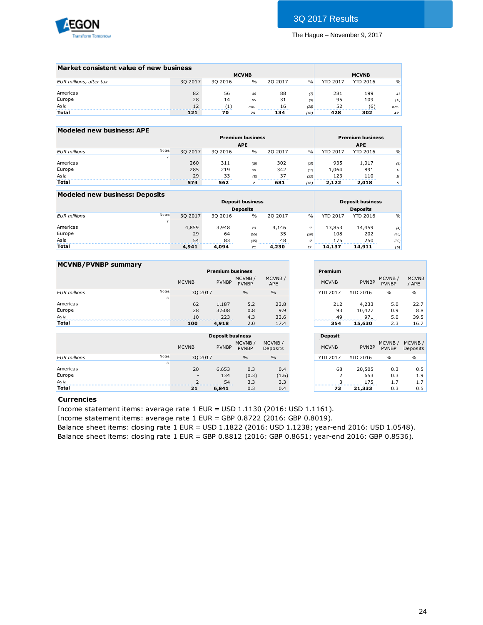

| Market consistent value of new business |         |         |               |                             |               |                 |                 |               |
|-----------------------------------------|---------|---------|---------------|-----------------------------|---------------|-----------------|-----------------|---------------|
|                                         |         |         | <b>MCVNB</b>  |                             |               |                 | <b>MCVNB</b>    |               |
| EUR millions, after tax                 | 30 2017 | 30 2016 | $\frac{0}{0}$ | 20 20 17                    | $\frac{0}{0}$ | <b>YTD 2017</b> | <b>YTD 2016</b> | $\frac{0}{0}$ |
|                                         |         |         |               |                             |               |                 |                 |               |
| Americas                                | 82      | 56      | 46            | 88                          | (7)           | 281             | 199             | 41            |
| Europe                                  | 28      | 14      | 95            | 31                          | (9)           | 95              | 109             | (13)          |
| Asia                                    | 12      | '1`     | n.m.          | 16<br>--------------------- | (28)          | 52              | (6)             | n.m.          |
| <b>Total</b>                            | 121     | 70      | 75            | 134                         | (10)          | 428             | 302             | 42            |

| Modeled new business: APE |       |         |         |                         |         |      |                 |                         |                  |
|---------------------------|-------|---------|---------|-------------------------|---------|------|-----------------|-------------------------|------------------|
|                           |       |         |         | <b>Premium business</b> |         |      |                 | <b>Premium business</b> |                  |
|                           |       |         |         | <b>APE</b>              |         |      |                 | <b>APE</b>              |                  |
| <b>EUR</b> millions       | Notes | 30 2017 | 30 2016 | $\frac{0}{0}$           | 20 2017 | $\%$ | <b>YTD 2017</b> | <b>YTD 2016</b>         | $\frac{0}{0}$    |
|                           |       |         |         |                         |         |      |                 |                         |                  |
| Americas                  |       | 260     | 311     | (16)                    | 302     | (14) | 935             | 1,017                   | (8)              |
| Europe                    |       | 285     | 219     | 30                      | 342     | (17) | 1.064           | 891                     | $\boldsymbol{p}$ |
| Asia                      |       | 29      | 33      | (11)                    | 37      | (22) | 123             | 110                     | $\mathbb{Z}$     |
| <b>Total</b>              |       | 574     | 562     | $\overline{2}$          | 681     | (16) | 2,122           | 2,018                   | 5                |

| Modeled new business: Deposits |       |         |         |                         |         |      |                 |                         |      |
|--------------------------------|-------|---------|---------|-------------------------|---------|------|-----------------|-------------------------|------|
|                                |       |         |         | <b>Deposit business</b> |         |      |                 | <b>Deposit business</b> |      |
|                                |       |         |         | <b>Deposits</b>         |         |      |                 | <b>Deposits</b>         |      |
| <b>EUR</b> millions            | Notes | 30 2017 | 30 2016 | $\%$                    | 20 2017 | $\%$ | <b>YTD 2017</b> | <b>YTD 2016</b>         | $\%$ |
|                                |       |         |         |                         |         |      |                 |                         |      |
| Americas                       |       | 4,859   | 3.948   | 23                      | 4.146   | 17   | 13,853          | 14,459                  | (4)  |
| Europe                         |       | 29      | 64      | (55)                    | 35      | (20) | 108             | 202                     | (46) |
| Asia                           |       | 54      | 83      | (35)                    | 48      | 12   | 175             | 250                     | (30) |
| <b>Total</b>                   |       | 4,941   | 4.094   | 21                      | 4,230   | 17   | 14.137          | 14,911                  | (5)  |
|                                |       |         |         |                         |         |      |                 |                         |      |

| <b>MCVNB/PVNBP summary</b> |       |              |                         |                        |                      |                 |                 |                        |                       |
|----------------------------|-------|--------------|-------------------------|------------------------|----------------------|-----------------|-----------------|------------------------|-----------------------|
|                            |       |              | <b>Premium business</b> |                        |                      | Premium         |                 |                        |                       |
|                            |       | <b>MCVNB</b> | <b>PVNBP</b>            | MCVNB/<br><b>PVNBP</b> | MCVNB/<br><b>APE</b> | <b>MCVNB</b>    | <b>PVNBP</b>    | MCVNB/<br><b>PVNBP</b> | <b>MCVNB</b><br>/ APE |
| <b>EUR</b> millions        | Notes | 30 2017      |                         | $\frac{0}{0}$          | $\%$                 | <b>YTD 2017</b> | <b>YTD 2016</b> | $\frac{0}{0}$          | $\frac{0}{0}$         |
|                            | 8     |              |                         |                        |                      |                 |                 |                        |                       |
| Americas                   |       | 62           | 1,187                   | 5.2                    | 23.8                 | 212             | 4,233           | 5.0                    | 22.7                  |
| Europe                     |       | 28           | 3,508                   | 0.8                    | 9.9                  | 93              | 10,427          | 0.9                    | 8.8                   |
| Asia                       |       | 10           | 223                     | 4.3                    | 33.6                 | 49              | 971             | 5.0                    | 39.5                  |
| <b>Total</b>               |       | 100          | 4,918                   | 2.0                    | 17.4                 | 354             | 15,630          | 2.3                    | 16.7                  |
|                            |       |              |                         |                        |                      |                 |                 |                        |                       |

|                     | Premium         |                        |                        |                       |
|---------------------|-----------------|------------------------|------------------------|-----------------------|
| CVNB/<br>APE        | <b>MCVNB</b>    | <b>PVNBP</b>           | MCVNB/<br><b>PVNBP</b> | <b>MCVNB</b><br>/ APE |
| $\frac{0}{0}$       | <b>YTD 2017</b> | <b>YTD 2016</b>        | $\frac{0}{0}$          | $\%$                  |
| 23.8<br>9.9<br>33.6 | 212<br>93<br>49 | 4,233<br>10,427<br>971 | 5.0<br>0.9<br>5.0      | 22.7<br>8.8<br>39.5   |
| 17.4                | 354             | 15,630                 | 2.3                    | 16.7                  |

**Contract Contract Contract Contract** 

|                     |       |                          | <b>Deposit business</b> |                        |                    |
|---------------------|-------|--------------------------|-------------------------|------------------------|--------------------|
|                     |       | <b>MCVNB</b>             | <b>PVNBP</b>            | MCVNB/<br><b>PVNBP</b> | MCVNB/<br>Deposits |
| <b>EUR</b> millions | Notes | 30 2017                  |                         | $\frac{0}{0}$          | $\frac{0}{0}$      |
|                     | 8     |                          |                         |                        |                    |
| Americas            |       | 20                       | 6,653                   | 0.3                    | 0.4                |
| Europe              |       | $\overline{\phantom{a}}$ | 134                     | (0.3)                  | (1.6)              |
| Asia                |       |                          | 54                      | 3.3                    | 3.3                |
| <b>Total</b>        |       | 21                       | 6,841                   | 0.3                    | 0.4                |

|                    | <b>Deposit</b>      |                 |                        |                    |
|--------------------|---------------------|-----------------|------------------------|--------------------|
| MCVNB/<br>Deposits | <b>MCVNB</b>        | <b>PVNBP</b>    | MCVNB/<br><b>PVNBP</b> | MCVNB/<br>Deposits |
| $\frac{0}{0}$      | <b>YTD 2017</b>     | <b>YTD 2016</b> | $\frac{0}{0}$          | $\frac{0}{0}$      |
| 0.4                | 68                  | 20,505          | 0.3                    | 0.5                |
| (1.6)<br>3.3       | $\overline{2}$<br>3 | 653<br>175      | 0.3<br>1.7             | 1.9<br>1.7         |
| 0.4                | 73                  | 21,333          | 0.3                    | 0.5                |

#### **Currencies**

Income statement items: average rate 1 EUR = USD 1.1130 (2016: USD 1.1161).

Income statement items: average rate 1 EUR = GBP 0.8722 (2016: GBP 0.8019).

Balance sheet items: closing rate 1 EUR = USD 1.1822 (2016: USD 1.1238; year-end 2016: USD 1.0548). Balance sheet items: closing rate 1 EUR = GBP 0.8812 (2016: GBP 0.8651; year-end 2016: GBP 0.8536).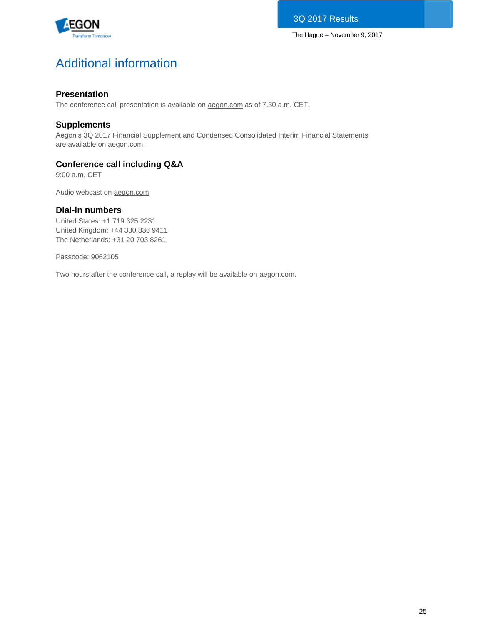

# Additional information

## **Presentation**

The conference call presentation is available on [aegon.com](http://www.aegon.com/results) as of 7.30 a.m. CET.

## **Supplements**

Aegon's 3Q 2017 Financial Supplement and Condensed Consolidated Interim Financial Statements are available on [aegon.com.](http://www.aegon.com/results)

## **Conference call including Q&A**

9:00 a.m. CET

Audio webcast on [aegon.com](http://www.aegon.com/results)

## **Dial-in numbers**

United States: +1 719 325 2231 United Kingdom: +44 330 336 9411 The Netherlands: +31 20 703 8261

Passcode: 9062105

Two hours after the conference call, a replay will be available on [aegon.com.](http://www.aegon.com/results)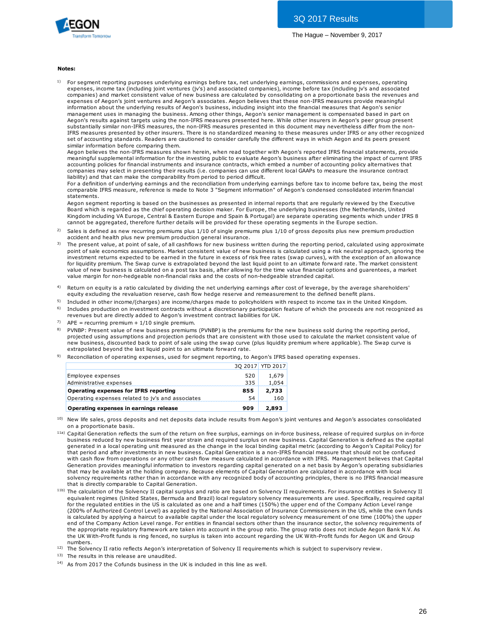

#### **Notes:**

 $1)$  For segment reporting purposes underlying earnings before tax, net underlying earnings, commissions and expenses, operating expenses, income tax (including joint ventures (jv's) and associated companies), income before tax (including jv's and associated companies) and market consistent value of new business are calculated by consolidating on a proportionate basis the revenues and expenses of Aegon's joint ventures and Aegon's associates. Aegon believes that these non-IFRS measures provide meaningful information about the underlying results of Aegon's business, including insight into the financial measures that Aegon's senior management uses in managing the business. Among other things, Aegon's senior management is compensated based in part on Aegon's results against targets using the non-IFRS measures presented here. While other insurers in Aegon's peer group present substantially similar non-IFRS measures, the non-IFRS measures presented in this document may nevertheless differ from the non-IFRS measures presented by other insurers. There is no standardized meaning to these measures under IFRS or any other recognized set of accounting standards. Readers are cautioned to consider carefully the different ways in which Aegon and its peers present similar information before comparing them.

Aegon believes the non-IFRS measures shown herein, when read together with Aegon's reported IFRS financial statements, provide meaningful supplemental information for the investing public to evaluate Aegon's business after eliminating the impact of current IFRS accounting policies for financial instruments and insurance contracts, which embed a number of accounting policy alternatives that companies may select in presenting their results (i.e. companies can use different local GAAPs to measure the insurance contract liability) and that can make the comparability from period to period difficult.

For a definition of underlying earnings and the reconciliation from underlying earnings before tax to income before tax, being the most comparable IFRS measure, reference is made to Note 3 "Segment information" of Aegon's condensed consolidated interim financial statements.

Aegon segment reporting is based on the businesses as presented in internal reports that are regularly reviewed by the Executive Board which is regarded as the chief operating decision maker. For Europe, the underlying businesses (the Netherlands, United Kingdom including VA Europe, Central & Eastern Europe and Spain & Portugal) are separate operating segments which under IFRS 8 cannot be aggregated, therefore further details will be provided for these operating segments in the Europe section. statements.<br>Aegon segment reporting is based on the businesses as presented in internal reports that are regularly reviewed by the Executive<br>Board which is regarded as the chief operating decision maker. For Europe, the un Aegon segment reporting is based on the businesses as presented ir<br>Board which is regarded as the chief operating decision maker. For Et<br>Kingdom including VA Europe, Central & Eastern Europe and Spain & l<br>cannot be aggrega Board which is regarded as the chief operating decision maker. For Europe, the underlying businesses (the Netherlands, United Kingdom including VA Europe, Central & Eastern Europe and Spain & Portugal) are separate operati

- 2)
- 3) Kingdom including VA Europe, Central & Eastern Europe and Spain & Portugal) are separate operating segments which under IFRS 8<br>cannot be aggregated, therefore further details will be provided for these operating segments i investment returns expected to be earned in the future in excess of risk free rates (swap curves), with the exception of an allowance investment recurs expected to be earned in the nutre nutre weess of risk fireer are a (swap curves), which the exception of an infrarmed from the strape detection of an ultimate forward rate. The market consistent value of accident and health plus new premium production general insurance.<br>The present value, at point of sale, of all cashflows for new business written during the reporting period, calculated using approxima<br>point of sale econom value margin for non-hedgeable non-financial risks and the costs of non-hedgeable stranded capital.
- 4) Return on equity is a ratio calculated by dividing the net underlying earnings after cost of leverage, by the average shareholders'<br>equity excluding the revaluation reserve, cash flow hedge reserve and remeasurement to the
- <sup>5)</sup> Included in other income/(charges) are income/charges made to policyholders with respect to income tax in the United Kingdom.
- 6) Includes production on investment contracts without a discretionary participation feature of which the proceeds are not recognized as revenues but are directly added to Aegon's investment contract liabilities for UK.
- 7)  $APE = recurring$  premium +  $1/10$  single premium.
- 8) equity excluding the revaluation reserve, cash how hedge reserve and remeasurement to the delined benefit plans.<br>Included in other income/(charges) are income/charges made to policyholders with respect to income tax in the projected using assumptions and projection periods that are consistent with those used to calculate the market consistent value of Includes production on investment contracts without a discretionary participation feature of which the proceeds are not recognized<br>revenues but are directly added to Aegon's investment contract liabilities for UK.<br>APE = re extrapolated beyond the last liquid point to an ultimate forward rate.
- 9) Reconciliation of operating expenses, used for segment reporting, to Aegon's IFRS based operating expenses.

|                                                   |     | 3Q 2017 YTD 2017 |
|---------------------------------------------------|-----|------------------|
| Employee expenses                                 | 520 | 1,679            |
| Administrative expenses                           | 335 | 1.054            |
| <b>Operating expenses for IFRS reporting</b>      | 855 | 2,733            |
| Operating expenses related to jv's and associates | 54  | 160              |
| Operating expenses in earnings release            | 909 | 2,893            |

- 10) on a proportionate basis.
- <sup>11a)</sup> Capital Generation reflects the sum of the return on free surplus, earnings on in-force business, release of required surplus on in-force **Operating expenses in earnings release 909 2,893**<br>
New life sales, gross deposits and net deposits data include results from Aegon's joint ventures and Aegon's associates consolidated<br>
Capital Generation reflects the su generated in a local operating unit measured as the change in the local binding capital metric (according to Aegon's Capital Policy) for<br>that period and after investments in new business. Capital Generation is a non-IFRS f New life sales, gross deposits and net deposits data include results from Aegon's joint ventures and Aegon's associates consolidate<br>on a proportionate basis.<br>Capital Generation reflects the sum of the return on free surplu on a proportionate basis.<br>Capital Generation reflects the sum of the return on free surplus, earnings on in-force business, release of required surplus on in-force<br>business reduced by new business first year strain and req Generation provides meaningful information to investors regarding capital generated on a net basis by Aegon's operating subsidiaries that may be available at the holding company. Because elements of Capital Generation are calculated in accordance with local solvency requirements rather than in accordance with any recognized body of accounting principles, there is no IFRS financial measure that is directly comparable to Capital Generation.
- <sup>11b)</sup> The calculation of the Solvency II capital surplus and ratio are based on Solvency II requirements. For insurance entities in Solvency II equivalent regimes (United States, Bermuda and Brazil) local regulatory solvency measurements are used. Specifically, required capital for the regulated entities in the US is calculated as one and a half times (150%) the upper end of the Company Action Level range (200% of Authorized Control Level) as applied by the National Association of Insurance Commissioners in the US, while the own funds is calculated by applying a haircut to available capital under the local regulatory solvency measurement of one time (100%) the upper end of the Company Action Level range. For entities in financial sectors other than the insurance sector, the solvency requirements of the appropriate regulatory framework are taken into account in the group ratio. The group ratio does not include Aegon Bank N.V. As the UK With-Profit funds is ring fenced, no surplus is taken into account regarding the UK With-Profit funds for Aegon UK and Group numbers. Example of the Company Action Level range. For entities in financial sectors will be local regulatory solvency measurement of one time (100%) the upper<br>end of the Company Action Level range. For entities in financial secto

<sup>12)</sup> The Solvency II ratio reflects Aegon's interpretation of Solvency II requirements which is subject to supervisory review.

13) The results in this release are unaudited.

<sup>14)</sup> As from 2017 the Cofunds business in the UK is included in this line as well.